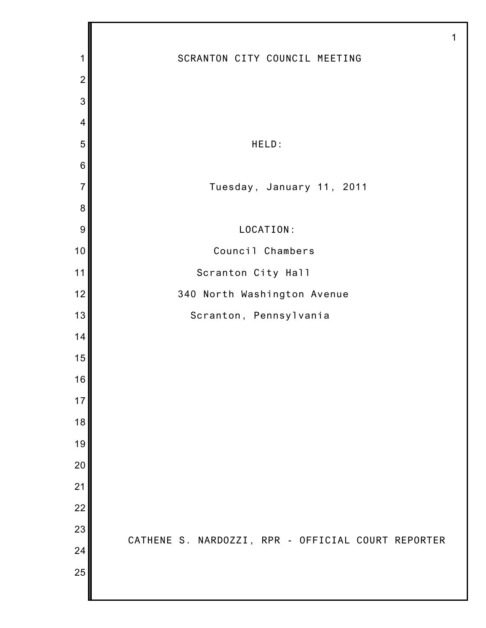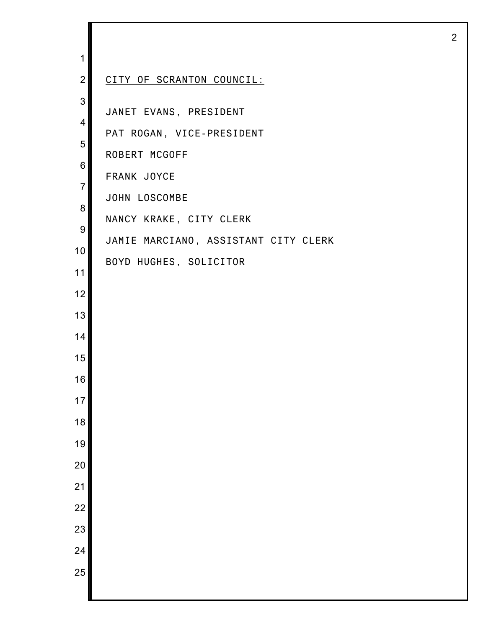| 1                   |                                      |
|---------------------|--------------------------------------|
| $\overline{2}$      | CITY OF SCRANTON COUNCIL:            |
| 3<br>$\overline{4}$ | JANET EVANS, PRESIDENT               |
| 5                   | PAT ROGAN, VICE-PRESIDENT            |
| 6                   | ROBERT MCGOFF                        |
| $\overline{7}$      | FRANK JOYCE                          |
| 8                   | JOHN LOSCOMBE                        |
| 9                   | NANCY KRAKE, CITY CLERK              |
| 10                  | JAMIE MARCIANO, ASSISTANT CITY CLERK |
| 11                  | BOYD HUGHES, SOLICITOR               |
| 12                  |                                      |
| 13                  |                                      |
| 14                  |                                      |
| 15                  |                                      |
| 16                  |                                      |
| 17                  |                                      |
| 18                  |                                      |
| 19                  |                                      |
| 20                  |                                      |
| 21                  |                                      |
| $\overline{22}$     |                                      |
| 23                  |                                      |
| 24                  |                                      |
| 25                  |                                      |
|                     |                                      |

I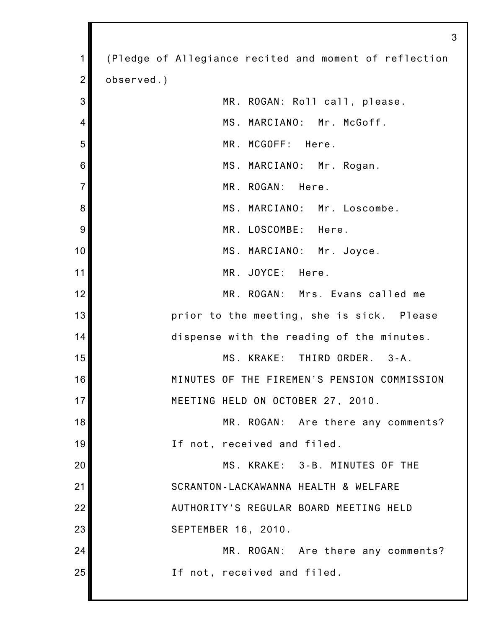| 1              | (Pledge of Allegiance recited and moment of reflection |
|----------------|--------------------------------------------------------|
| $\overline{2}$ | observed.)                                             |
| 3              | MR. ROGAN: Roll call, please.                          |
| 4              | MS. MARCIANO: Mr. McGoff.                              |
| 5              | MR. MCGOFF: Here.                                      |
| 6              | MS. MARCIANO: Mr. Rogan.                               |
| $\overline{7}$ | MR. ROGAN: Here.                                       |
| 8              | MS. MARCIANO: Mr. Loscombe.                            |
| 9              | MR. LOSCOMBE: Here.                                    |
| 10             | MS. MARCIANO: Mr. Joyce.                               |
| 11             | MR. JOYCE: Here.                                       |
| 12             | MR. ROGAN: Mrs. Evans called me                        |
| 13             | prior to the meeting, she is sick. Please              |
| 14             | dispense with the reading of the minutes.              |
| 15             | MS. KRAKE: THIRD ORDER. 3-A.                           |
| 16             | MINUTES OF THE FIREMEN'S PENSION COMMISSION            |
| 17             | MEETING HELD ON OCTOBER 27, 2010.                      |
| 18             | MR. ROGAN: Are there any comments?                     |
| 19             | If not, received and filed.                            |
| 20             | MS. KRAKE: 3-B. MINUTES OF THE                         |
| 21             | SCRANTON-LACKAWANNA HEALTH & WELFARE                   |
| 22             | AUTHORITY'S REGULAR BOARD MEETING HELD                 |
| 23             | SEPTEMBER 16, 2010.                                    |
| 24             | MR. ROGAN: Are there any comments?                     |
| 25             | If not, received and filed.                            |
|                |                                                        |

I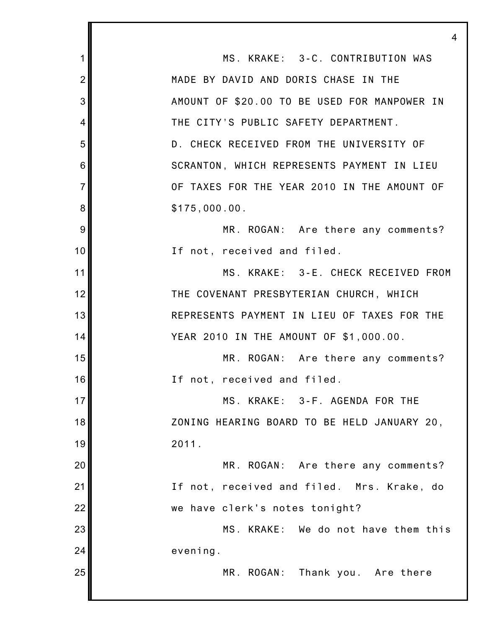1 2 3 4 5 6 7 8 9 10 11 12 13 14 15 16 17 18 19 20 21 22 23 24 25 4 MS. KRAKE: 3-C. CONTRIBUTION WAS MADE BY DAVID AND DORIS CHASE IN THE AMOUNT OF \$20.00 TO BE USED FOR MANPOWER IN THE CITY'S PUBLIC SAFETY DEPARTMENT. D. CHECK RECEIVED FROM THE UNIVERSITY OF SCRANTON, WHICH REPRESENTS PAYMENT IN LIEU OF TAXES FOR THE YEAR 2010 IN THE AMOUNT OF \$175,000.00. MR. ROGAN: Are there any comments? If not, received and filed. MS. KRAKE: 3-E. CHECK RECEIVED FROM THE COVENANT PRESBYTERIAN CHURCH, WHICH REPRESENTS PAYMENT IN LIEU OF TAXES FOR THE YEAR 2010 IN THE AMOUNT OF \$1,000.00. MR. ROGAN: Are there any comments? If not, received and filed. MS. KRAKE: 3-F. AGENDA FOR THE ZONING HEARING BOARD TO BE HELD JANUARY 20, 2011. MR. ROGAN: Are there any comments? If not, received and filed. Mrs. Krake, do we have clerk's notes tonight? MS. KRAKE: We do not have them this evening. MR. ROGAN: Thank you. Are there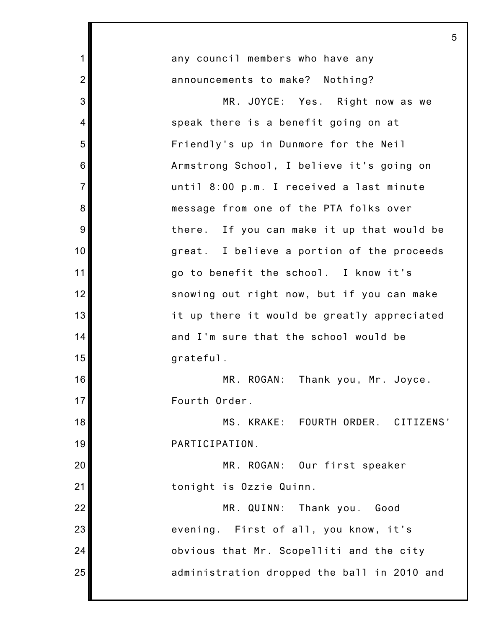|                | 5                                           |
|----------------|---------------------------------------------|
| 1              | any council members who have any            |
| $\overline{2}$ | announcements to make? Nothing?             |
| 3              | MR. JOYCE: Yes. Right now as we             |
| 4              | speak there is a benefit going on at        |
| 5              | Friendly's up in Dunmore for the Neil       |
| 6              | Armstrong School, I believe it's going on   |
| $\overline{7}$ | until 8:00 p.m. I received a last minute    |
| 8              | message from one of the PTA folks over      |
| 9              | there. If you can make it up that would be  |
| 10             | great. I believe a portion of the proceeds  |
| 11             | go to benefit the school. I know it's       |
| 12             | snowing out right now, but if you can make  |
| 13             | it up there it would be greatly appreciated |
| 14             | and I'm sure that the school would be       |
| 15             | grateful.                                   |
| 16             | MR. ROGAN:<br>Thank you, Mr. Joyce.         |
| 17             | Fourth Order.                               |
| 18             | MS. KRAKE: FOURTH ORDER. CITIZENS'          |
| 19             | PARTICIPATION.                              |
| 20             | MR. ROGAN: Our first speaker                |
| 21             | tonight is Ozzie Quinn.                     |
| 22             | MR. QUINN: Thank you.<br>Good               |
| 23             | evening. First of all, you know, it's       |
| 24             | obvious that Mr. Scopelliti and the city    |
| 25             | administration dropped the ball in 2010 and |
|                |                                             |

Ш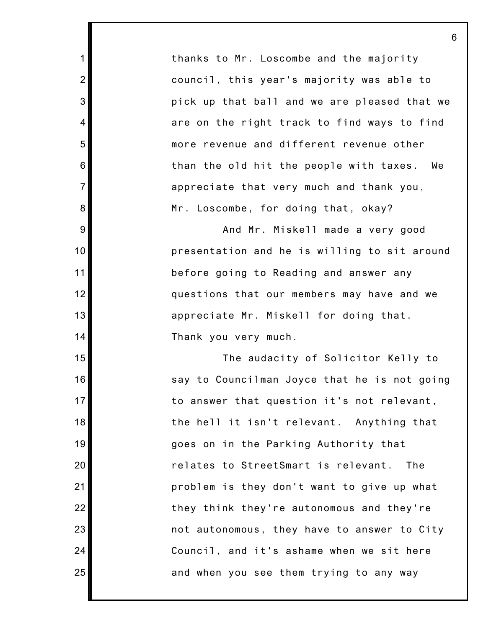thanks to Mr. Loscombe and the majority council, this year's majority was able to pick up that ball and we are pleased that we are on the right track to find ways to find more revenue and different revenue other than the old hit the people with taxes. We appreciate that very much and thank you, Mr. Loscombe, for doing that, okay?

1

2

3

4

5

6

7

8

9

10

11

12

13

14

15

16

17

18

19

20

21

22

23

24

25

And Mr. Miskell made a very good presentation and he is willing to sit around before going to Reading and answer any questions that our members may have and we appreciate Mr. Miskell for doing that. Thank you very much.

The audacity of Solicitor Kelly to say to Councilman Joyce that he is not going to answer that question it's not relevant, the hell it isn't relevant. Anything that goes on in the Parking Authority that relates to StreetSmart is relevant. The problem is they don't want to give up what they think they're autonomous and they're not autonomous, they have to answer to City Council, and it's ashame when we sit here and when you see them trying to any way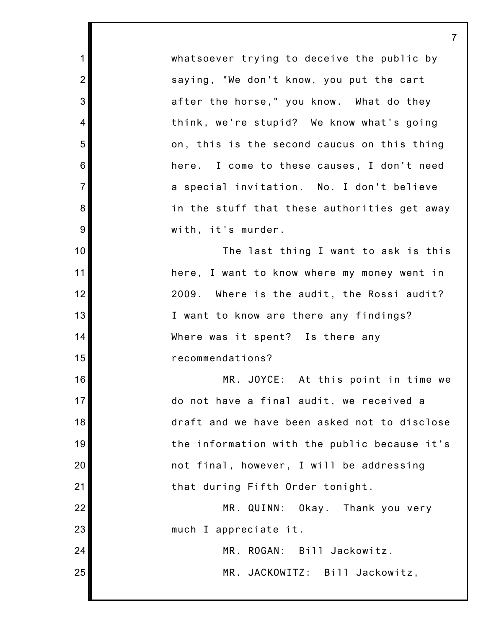whatsoever trying to deceive the public by saying, "We don't know, you put the cart after the horse," you know. What do they think, we're stupid? We know what's going on, this is the second caucus on this thing here. I come to these causes, I don't need a special invitation. No. I don't believe in the stuff that these authorities get away with, it's murder.

1

2

3

4

5

6

7

8

9

10

11

12

13

14

15

16

17

18

19

20

21

22

23

24

25

The last thing I want to ask is this here, I want to know where my money went in 2009. Where is the audit, the Rossi audit? I want to know are there any findings? Where was it spent? Is there any recommendations?

MR. JOYCE: At this point in time we do not have a final audit, we received a draft and we have been asked not to disclose the information with the public because it's not final, however, I will be addressing that during Fifth Order tonight.

MR. QUINN: Okay. Thank you very much I appreciate it.

> MR. ROGAN: Bill Jackowitz. MR. JACKOWITZ: Bill Jackowitz,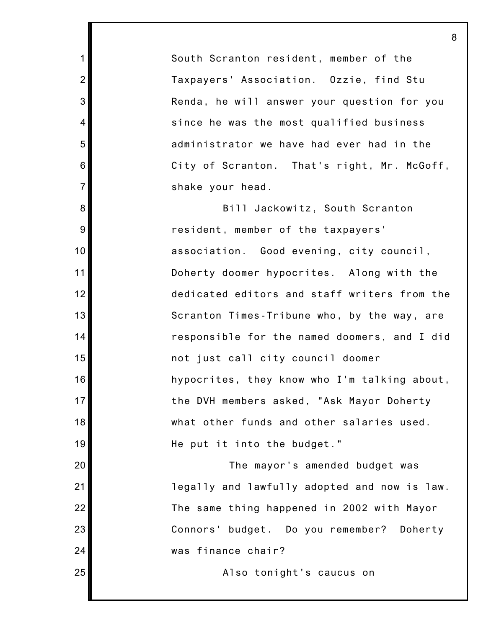South Scranton resident, member of the Taxpayers' Association. Ozzie, find Stu Renda, he will answer your question for you since he was the most qualified business administrator we have had ever had in the City of Scranton. That's right, Mr. McGoff, shake your head.

1

2

3

4

5

6

7

8

9

10

11

12

13

14

15

16

17

18

19

20

21

22

23

24

25

Bill Jackowitz, South Scranton resident, member of the taxpayers' association. Good evening, city council, Doherty doomer hypocrites. Along with the dedicated editors and staff writers from the Scranton Times-Tribune who, by the way, are responsible for the named doomers, and I did not just call city council doomer hypocrites, they know who I'm talking about, the DVH members asked, "Ask Mayor Doherty what other funds and other salaries used. He put it into the budget."

The mayor's amended budget was legally and lawfully adopted and now is law. The same thing happened in 2002 with Mayor Connors' budget. Do you remember? Doherty was finance chair?

Also tonight's caucus on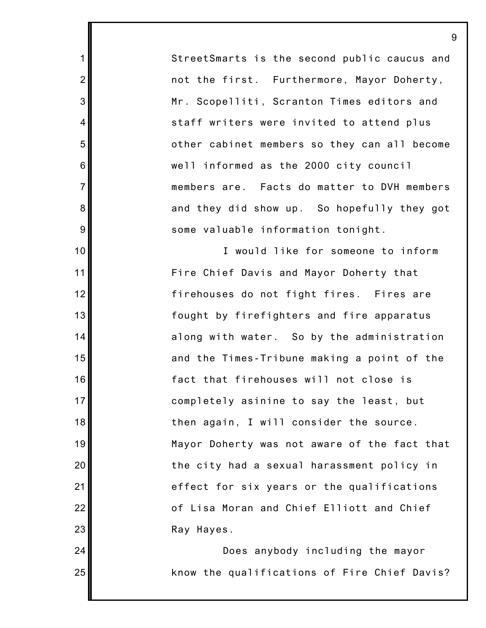StreetSmarts is the second public caucus and not the first. Furthermore, Mayor Doherty, Mr. Scopelliti, Scranton Times editors and staff writers were invited to attend plus other cabinet members so they can all become well informed as the 2000 city council members are. Facts do matter to DVH members and they did show up. So hopefully they got some valuable information tonight.

1

2

3

4

5

6

7

8

9

10

11

12

13

14

15

16

17

18

19

20

21

22

23

24

25

I would like for someone to inform Fire Chief Davis and Mayor Doherty that firehouses do not fight fires. Fires are fought by firefighters and fire apparatus along with water. So by the administration and the Times-Tribune making a point of the fact that firehouses will not close is completely asinine to say the least, but then again, I will consider the source. Mayor Doherty was not aware of the fact that the city had a sexual harassment policy in effect for six years or the qualifications of Lisa Moran and Chief Elliott and Chief Ray Hayes.

Does anybody including the mayor know the qualifications of Fire Chief Davis?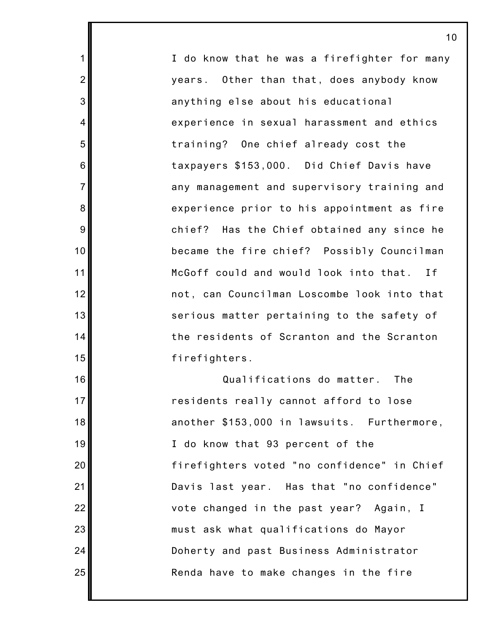I do know that he was a firefighter for many years. Other than that, does anybody know anything else about his educational experience in sexual harassment and ethics training? One chief already cost the taxpayers \$153,000. Did Chief Davis have any management and supervisory training and experience prior to his appointment as fire chief? Has the Chief obtained any since he became the fire chief? Possibly Councilman McGoff could and would look into that. If not, can Councilman Loscombe look into that serious matter pertaining to the safety of the residents of Scranton and the Scranton firefighters.

1

2

3

4

5

6

7

8

9

10

11

12

13

14

15

16

17

18

19

20

21

22

23

24

25

Qualifications do matter. The residents really cannot afford to lose another \$153,000 in lawsuits. Furthermore, I do know that 93 percent of the firefighters voted "no confidence" in Chief Davis last year. Has that "no confidence" vote changed in the past year? Again, I must ask what qualifications do Mayor Doherty and past Business Administrator Renda have to make changes in the fire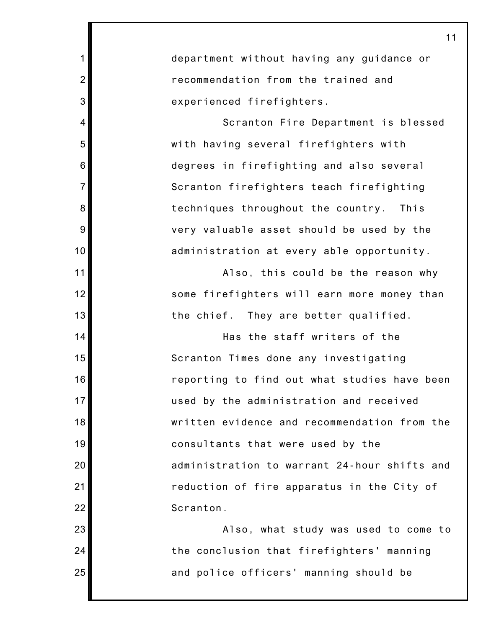| 1              | department without having any guidance or    |
|----------------|----------------------------------------------|
| $\overline{2}$ | recommendation from the trained and          |
| 3              | experienced firefighters.                    |
| 4              | Scranton Fire Department is blessed          |
| 5              | with having several firefighters with        |
| 6              | degrees in firefighting and also several     |
| $\overline{7}$ | Scranton firefighters teach firefighting     |
| 8              | techniques throughout the country.<br>This   |
| 9              | very valuable asset should be used by the    |
| 10             | administration at every able opportunity.    |
| 11             | Also, this could be the reason why           |
| 12             | some firefighters will earn more money than  |
| 13             | the chief.<br>They are better qualified.     |
| 14             | Has the staff writers of the                 |
| 15             | Scranton Times done any investigating        |
| 16             | reporting to find out what studies have been |
| 17             | used by the administration and received      |
| 18             | written evidence and recommendation from the |
| 19             | consultants that were used by the            |
| 20             | administration to warrant 24-hour shifts and |
| 21             | reduction of fire apparatus in the City of   |
| 22             | Scranton.                                    |
| 23             | Also, what study was used to come to         |
| 24             | the conclusion that firefighters' manning    |
| 25             | and police officers' manning should be       |
|                |                                              |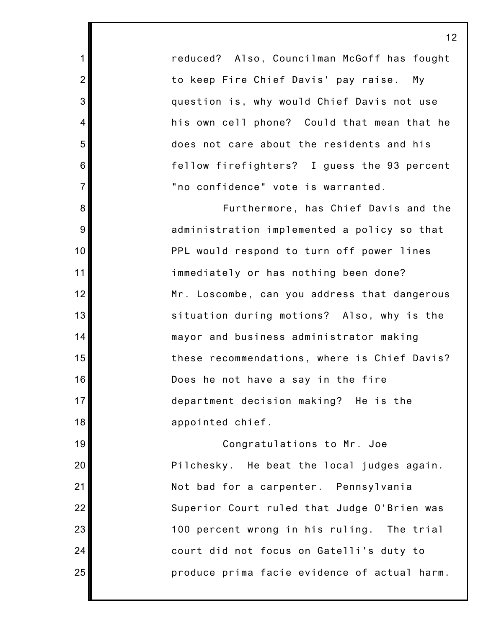reduced? Also, Councilman McGoff has fought to keep Fire Chief Davis' pay raise. My question is, why would Chief Davis not use his own cell phone? Could that mean that he does not care about the residents and his fellow firefighters? I guess the 93 percent "no confidence" vote is warranted.

1

2

3

4

5

6

7

8

9

10

11

12

13

14

15

16

17

18

19

20

21

22

23

24

25

Furthermore, has Chief Davis and the administration implemented a policy so that PPL would respond to turn off power lines immediately or has nothing been done? Mr. Loscombe, can you address that dangerous situation during motions? Also, why is the mayor and business administrator making these recommendations, where is Chief Davis? Does he not have a say in the fire department decision making? He is the appointed chief.

Congratulations to Mr. Joe Pilchesky. He beat the local judges again. Not bad for a carpenter. Pennsylvania Superior Court ruled that Judge O'Brien was 100 percent wrong in his ruling. The trial court did not focus on Gatelli's duty to produce prima facie evidence of actual harm.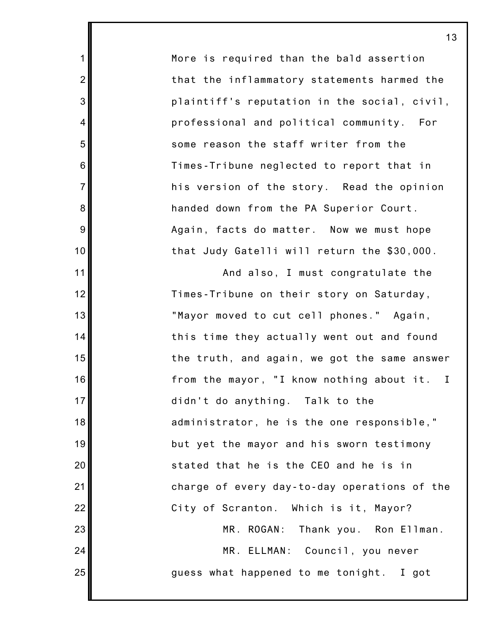More is required than the bald assertion that the inflammatory statements harmed the plaintiff's reputation in the social, civil, professional and political community. For some reason the staff writer from the Times-Tribune neglected to report that in his version of the story. Read the opinion handed down from the PA Superior Court. Again, facts do matter. Now we must hope that Judy Gatelli will return the \$30,000.

1

2

3

4

5

6

7

8

9

10

11

12

13

14

15

16

17

18

19

20

21

22

23

24

25

And also, I must congratulate the Times-Tribune on their story on Saturday, "Mayor moved to cut cell phones." Again, this time they actually went out and found the truth, and again, we got the same answer from the mayor, "I know nothing about it. I didn't do anything. Talk to the administrator, he is the one responsible," but yet the mayor and his sworn testimony stated that he is the CEO and he is in charge of every day-to-day operations of the City of Scranton. Which is it, Mayor? MR. ROGAN: Thank you. Ron Ellman. MR. ELLMAN: Council, you never

guess what happened to me tonight. I got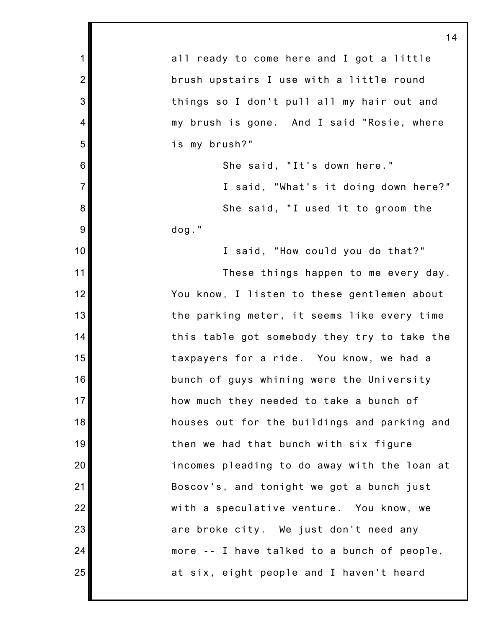|                 | <u>14</u>                                    |
|-----------------|----------------------------------------------|
| 1               | all ready to come here and I got a little    |
| $\overline{2}$  | brush upstairs I use with a little round     |
| 3               | things so I don't pull all my hair out and   |
| 4               | my brush is gone. And I said "Rosie, where   |
| 5               | is my brush?"                                |
| $6\phantom{1}6$ | She said, "It's down here."                  |
| $\overline{7}$  | I said, "What's it doing down here?"         |
| 8               | She said, "I used it to groom the            |
| 9               | $dog.$ "                                     |
| 10              | I said, "How could you do that?"             |
| 11              | These things happen to me every day.         |
| 12              | You know, I listen to these gentlemen about  |
| 13              | the parking meter, it seems like every time  |
| 14              | this table got somebody they try to take the |
| 15              | taxpayers for a ride. You know, we had a     |
| 16              | bunch of guys whining were the University    |
| 17              | how much they needed to take a bunch of      |
| 18              | houses out for the buildings and parking and |
| 19              | then we had that bunch with six figure       |
| 20              | incomes pleading to do away with the loan at |
| 21              | Boscov's, and tonight we got a bunch just    |
| 22              | with a speculative venture. You know, we     |
| 23              | are broke city. We just don't need any       |
| 24              | more -- I have talked to a bunch of people,  |
| 25              | at six, eight people and I haven't heard     |
|                 |                                              |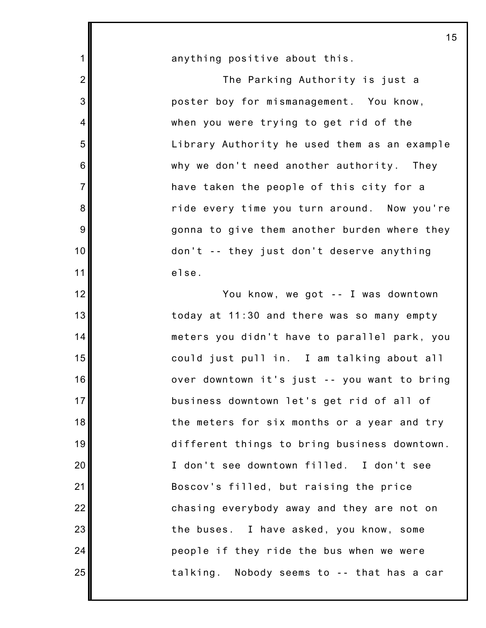anything positive about this.

1

2

3

4

5

6

7

8

9

10

11

12

13

14

15

16

17

18

19

20

21

22

23

24

25

The Parking Authority is just a poster boy for mismanagement. You know, when you were trying to get rid of the Library Authority he used them as an example why we don't need another authority. They have taken the people of this city for a ride every time you turn around. Now you're gonna to give them another burden where they don't -- they just don't deserve anything else.

You know, we got -- I was downtown today at 11:30 and there was so many empty meters you didn't have to parallel park, you could just pull in. I am talking about all over downtown it's just -- you want to bring business downtown let's get rid of all of the meters for six months or a year and try different things to bring business downtown. I don't see downtown filled. I don't see Boscov's filled, but raising the price chasing everybody away and they are not on the buses. I have asked, you know, some people if they ride the bus when we were talking. Nobody seems to -- that has a car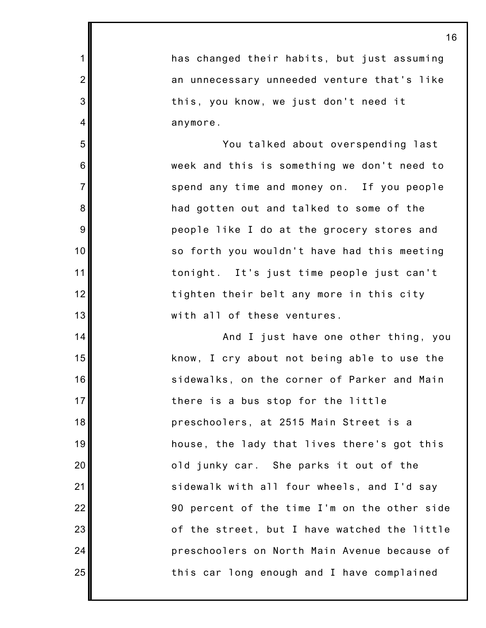has changed their habits, but just assuming an unnecessary unneeded venture that's like this, you know, we just don't need it anymore.

1

2

3

4

5

6

7

8

9

10

11

12

13

14

15

16

17

18

19

20

21

22

23

24

25

You talked about overspending last week and this is something we don't need to spend any time and money on. If you people had gotten out and talked to some of the people like I do at the grocery stores and so forth you wouldn't have had this meeting tonight. It's just time people just can't tighten their belt any more in this city with all of these ventures.

And I just have one other thing, you know, I cry about not being able to use the sidewalks, on the corner of Parker and Main there is a bus stop for the little preschoolers, at 2515 Main Street is a house, the lady that lives there's got this old junky car. She parks it out of the sidewalk with all four wheels, and I'd say 90 percent of the time I'm on the other side of the street, but I have watched the little preschoolers on North Main Avenue because of this car long enough and I have complained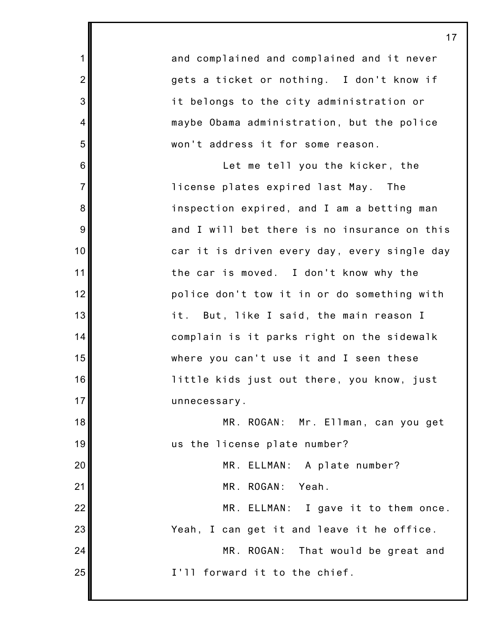1 2 3 4 5 6 7 8 9 10 11 12 13 14 15 16 17 18 19 20 21 22 23 24 25 and complained and complained and it never gets a ticket or nothing. I don't know if it belongs to the city administration or maybe Obama administration, but the police won't address it for some reason. Let me tell you the kicker, the license plates expired last May. The inspection expired, and I am a betting man and I will bet there is no insurance on this car it is driven every day, every single day the car is moved. I don't know why the police don't tow it in or do something with it. But, like I said, the main reason I complain is it parks right on the sidewalk where you can't use it and I seen these little kids just out there, you know, just unnecessary. MR. ROGAN: Mr. Ellman, can you get us the license plate number? MR. ELLMAN: A plate number? MR. ROGAN: Yeah. MR. ELLMAN: I gave it to them once. Yeah, I can get it and leave it he office. MR. ROGAN: That would be great and I'll forward it to the chief.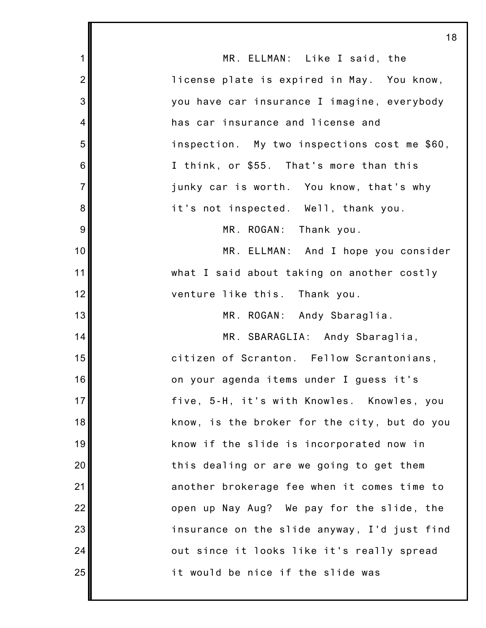| <u>18</u>                                        |
|--------------------------------------------------|
| MR. ELLMAN: Like I said, the                     |
| license plate is expired in May. You know,       |
| you have car insurance I imagine, everybody      |
| has car insurance and license and                |
| inspection. My two inspections cost me \$60,     |
| I think, or \$55. That's more than this          |
| junky car is worth. You know, that's why         |
| it's not inspected. Well, thank you.             |
| MR. ROGAN: Thank you.                            |
| MR. ELLMAN: And I hope you consider              |
| what I said about taking on another costly       |
| venture like this. Thank you.                    |
| MR. ROGAN: Andy Sbaraglia.                       |
| MR. SBARAGLIA: Andy Sbaraglia,                   |
| citizen of Scranton. Fellow Scrantonians,        |
| on your agenda items under I guess it's          |
| 17<br>five, 5-H, it's with Knowles. Knowles, you |
| know, is the broker for the city, but do you     |
| know if the slide is incorporated now in         |
| this dealing or are we going to get them         |
| another brokerage fee when it comes time to      |
| open up Nay Aug? We pay for the slide, the       |
| insurance on the slide anyway, I'd just find     |
| out since it looks like it's really spread       |
| it would be nice if the slide was                |
|                                                  |

. .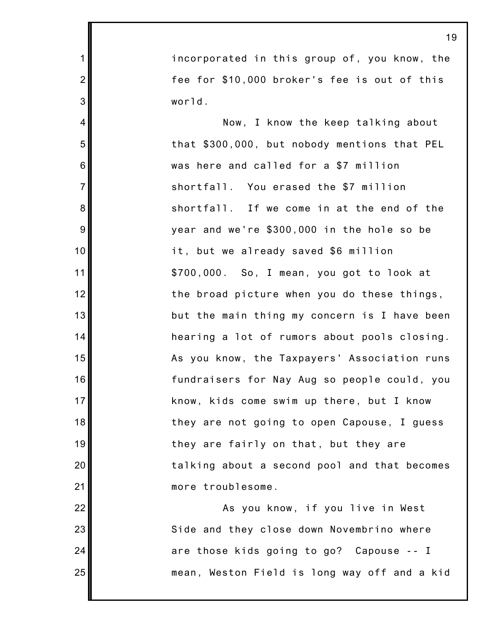incorporated in this group of, you know, the fee for \$10,000 broker's fee is out of this world.

1

2

3

4

5

6

7

8

9

10

11

12

13

14

15

16

17

18

19

20

21

22

23

24

25

Now, I know the keep talking about that \$300,000, but nobody mentions that PEL was here and called for a \$7 million shortfall. You erased the \$7 million shortfall. If we come in at the end of the year and we're \$300,000 in the hole so be it, but we already saved \$6 million \$700,000. So, I mean, you got to look at the broad picture when you do these things, but the main thing my concern is I have been hearing a lot of rumors about pools closing. As you know, the Taxpayers' Association runs fundraisers for Nay Aug so people could, you know, kids come swim up there, but I know they are not going to open Capouse, I guess they are fairly on that, but they are talking about a second pool and that becomes more troublesome.

As you know, if you live in West Side and they close down Novembrino where are those kids going to go? Capouse -- I mean, Weston Field is long way off and a kid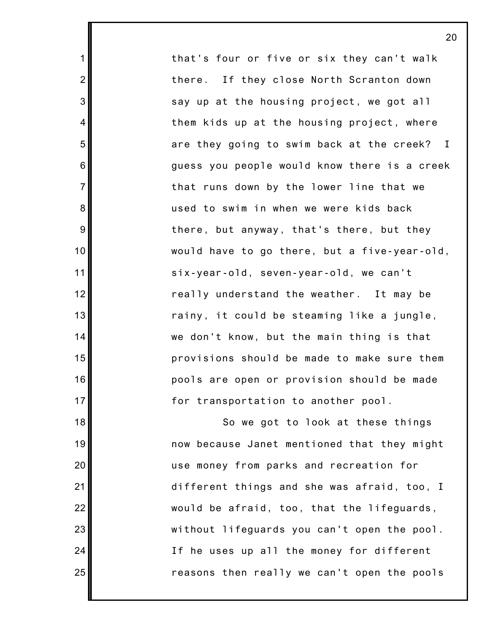that's four or five or six they can't walk there. If they close North Scranton down say up at the housing project, we got all them kids up at the housing project, where are they going to swim back at the creek? I guess you people would know there is a creek that runs down by the lower line that we used to swim in when we were kids back there, but anyway, that's there, but they would have to go there, but a five-year-old, six-year-old, seven-year-old, we can't really understand the weather. It may be rainy, it could be steaming like a jungle, we don't know, but the main thing is that provisions should be made to make sure them pools are open or provision should be made for transportation to another pool.

1

2

3

4

5

6

7

8

9

10

11

12

13

14

15

16

17

18

19

20

21

22

23

24

25

So we got to look at these things now because Janet mentioned that they might use money from parks and recreation for different things and she was afraid, too, I would be afraid, too, that the lifeguards, without lifeguards you can't open the pool. If he uses up all the money for different reasons then really we can't open the pools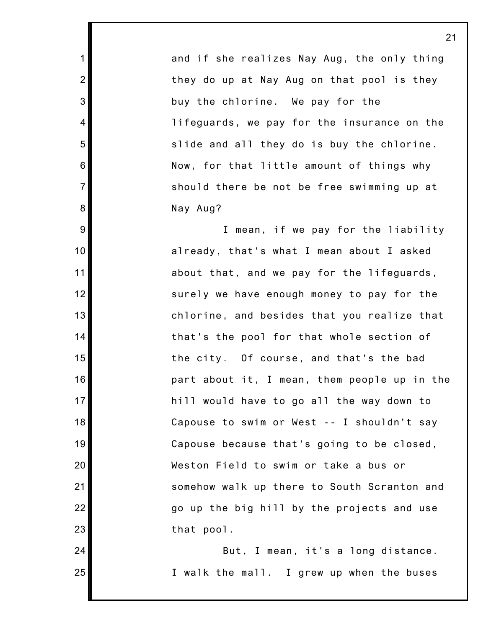and if she realizes Nay Aug, the only thing they do up at Nay Aug on that pool is they buy the chlorine. We pay for the lifeguards, we pay for the insurance on the slide and all they do is buy the chlorine. Now, for that little amount of things why should there be not be free swimming up at Nay Aug?

1

2

3

4

5

6

7

8

9

10

11

12

13

14

15

16

17

18

19

20

21

22

23

24

25

I mean, if we pay for the liability already, that's what I mean about I asked about that, and we pay for the lifeguards, surely we have enough money to pay for the chlorine, and besides that you realize that that's the pool for that whole section of the city. Of course, and that's the bad part about it, I mean, them people up in the hill would have to go all the way down to Capouse to swim or West -- I shouldn't say Capouse because that's going to be closed, Weston Field to swim or take a bus or somehow walk up there to South Scranton and go up the big hill by the projects and use that pool.

But, I mean, it's a long distance. I walk the mall. I grew up when the buses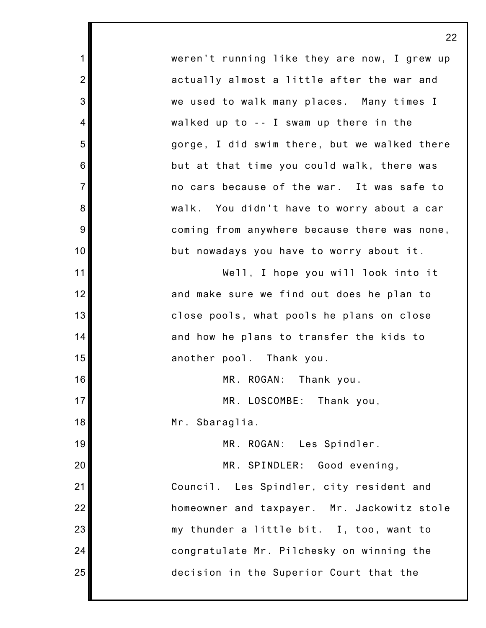weren't running like they are now, I grew up actually almost a little after the war and we used to walk many places. Many times I walked up to -- I swam up there in the gorge, I did swim there, but we walked there but at that time you could walk, there was no cars because of the war. It was safe to walk. You didn't have to worry about a car coming from anywhere because there was none, but nowadays you have to worry about it.

Well, I hope you will look into it and make sure we find out does he plan to close pools, what pools he plans on close and how he plans to transfer the kids to another pool. Thank you.

MR. ROGAN: Thank you.

MR. LOSCOMBE: Thank you,

Mr. Sbaraglia.

1

2

3

4

5

6

7

8

9

10

11

12

13

14

15

16

17

18

19

20

21

22

23

24

25

MR. ROGAN: Les Spindler.

MR. SPINDLER: Good evening,

Council. Les Spindler, city resident and homeowner and taxpayer. Mr. Jackowitz stole my thunder a little bit. I, too, want to congratulate Mr. Pilchesky on winning the decision in the Superior Court that the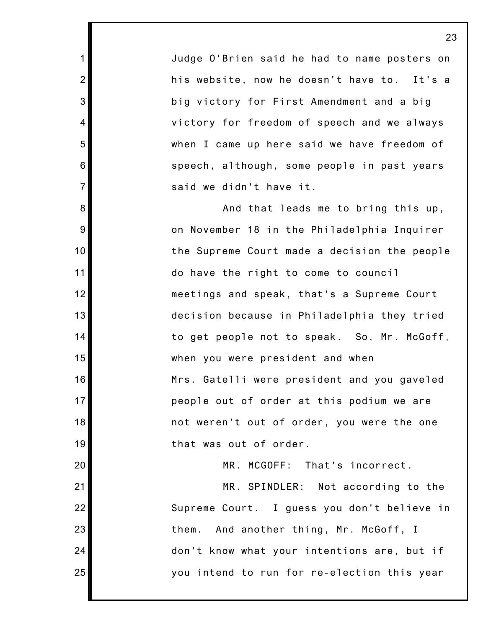Judge O'Brien said he had to name posters on his website, now he doesn't have to. It's a big victory for First Amendment and a big victory for freedom of speech and we always when I came up here said we have freedom of speech, although, some people in past years said we didn't have it.

1

2

3

4

5

6

7

8

9

10

11

12

13

14

15

16

17

18

19

20

21

22

23

24

25

And that leads me to bring this up, on November 18 in the Philadelphia Inquirer the Supreme Court made a decision the people do have the right to come to council meetings and speak, that's a Supreme Court decision because in Philadelphia they tried to get people not to speak. So, Mr. McGoff, when you were president and when Mrs. Gatelli were president and you gaveled people out of order at this podium we are not weren't out of order, you were the one that was out of order.

MR. MCGOFF: That's incorrect.

MR. SPINDLER: Not according to the Supreme Court. I guess you don't believe in them. And another thing, Mr. McGoff, I don't know what your intentions are, but if you intend to run for re-election this year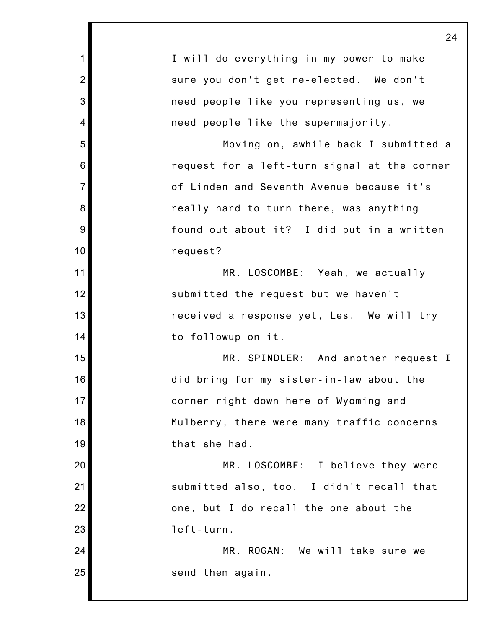|                | 24                                           |
|----------------|----------------------------------------------|
| $\mathbf{1}$   | I will do everything in my power to make     |
| $\overline{2}$ | sure you don't get re-elected. We don't      |
| 3              | need people like you representing us, we     |
| 4              | need people like the supermajority.          |
| 5              | Moving on, awhile back I submitted a         |
| 6              | request for a left-turn signal at the corner |
| $\overline{7}$ | of Linden and Seventh Avenue because it's    |
| 8              | really hard to turn there, was anything      |
| 9              | found out about it? I did put in a written   |
| 10             | request?                                     |
| 11             | MR. LOSCOMBE: Yeah, we actually              |
| 12             | submitted the request but we haven't         |
| 13             | received a response yet, Les. We will try    |
| 14             | to followup on it.                           |
| 15             | MR. SPINDLER: And another request I          |
| 16             | did bring for my sister-in-law about the     |
| 17             | corner right down here of Wyoming and        |
| 18             | Mulberry, there were many traffic concerns   |
| 19             | that she had.                                |
| 20             | MR. LOSCOMBE: I believe they were            |
| 21             | submitted also, too. I didn't recall that    |
| 22             | one, but I do recall the one about the       |
| 23             | left-turn.                                   |
| 24             | MR. ROGAN: We will take sure we              |
| 25             | send them again.                             |
|                |                                              |

Ш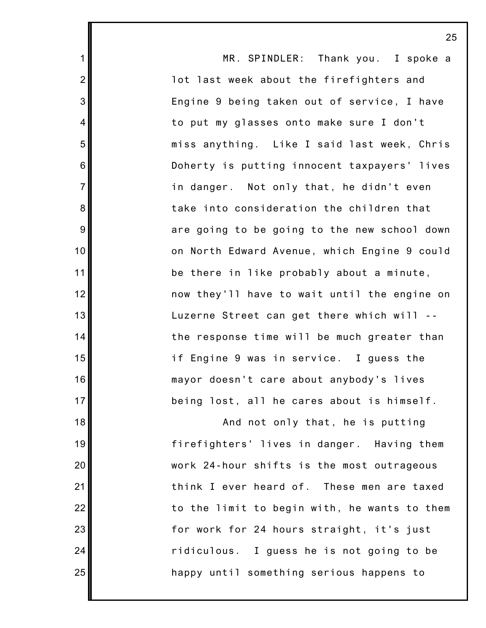1 2 3 4 5 6 7 8 9 10 11 12 13 14 15 16 17 18 19 20 21 22 23 24 25 MR. SPINDLER: Thank you. I spoke a lot last week about the firefighters and Engine 9 being taken out of service, I have to put my glasses onto make sure I don't miss anything. Like I said last week, Chris Doherty is putting innocent taxpayers' lives in danger. Not only that, he didn't even take into consideration the children that are going to be going to the new school down on North Edward Avenue, which Engine 9 could be there in like probably about a minute, now they'll have to wait until the engine on Luzerne Street can get there which will - the response time will be much greater than if Engine 9 was in service. I guess the mayor doesn't care about anybody's lives being lost, all he cares about is himself. And not only that, he is putting firefighters' lives in danger. Having them work 24-hour shifts is the most outrageous think I ever heard of. These men are taxed to the limit to begin with, he wants to them for work for 24 hours straight, it's just ridiculous. I guess he is not going to be happy until something serious happens to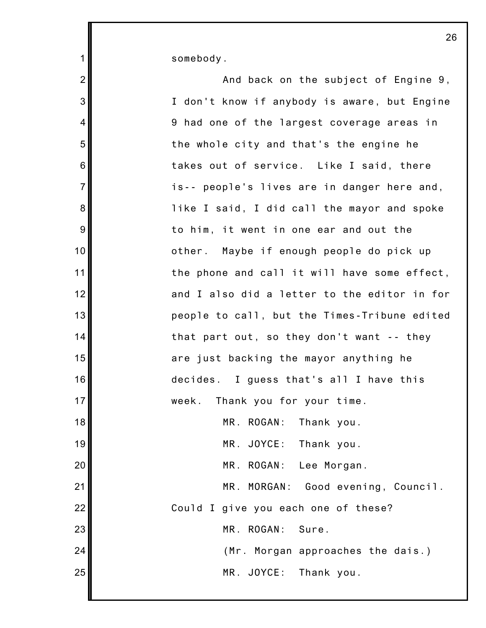somebody.

1

| $\overline{2}$ | And back on the subject of Engine 9,         |
|----------------|----------------------------------------------|
| 3              | I don't know if anybody is aware, but Engine |
| $\overline{4}$ | 9 had one of the largest coverage areas in   |
| 5              | the whole city and that's the engine he      |
| 6              | takes out of service. Like I said, there     |
| $\overline{7}$ | is-- people's lives are in danger here and,  |
| $\bf 8$        | like I said, I did call the mayor and spoke  |
| 9              | to him, it went in one ear and out the       |
| 10             | other. Maybe if enough people do pick up     |
| 11             | the phone and call it will have some effect, |
| 12             | and I also did a letter to the editor in for |
| 13             | people to call, but the Times-Tribune edited |
| 14             | that part out, so they don't want -- they    |
| 15             | are just backing the mayor anything he       |
| 16             | decides. I guess that's all I have this      |
| 17             | week. Thank you for your time.               |
| 18             | MR. ROGAN: Thank you.                        |
| 19             | MR. JOYCE: Thank you.                        |
| 20             | MR. ROGAN: Lee Morgan.                       |
| 21             | MR. MORGAN: Good evening, Council.           |
| 22             | Could I give you each one of these?          |
| 23             | MR. ROGAN: Sure.                             |
| 24             | (Mr. Morgan approaches the dais.)            |
| 25             | MR. JOYCE: Thank you.                        |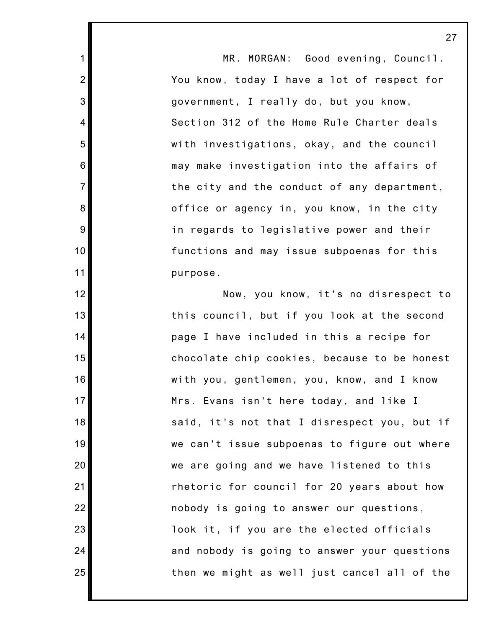MR. MORGAN: Good evening, Council. You know, today I have a lot of respect for government, I really do, but you know, Section 312 of the Home Rule Charter deals with investigations, okay, and the council may make investigation into the affairs of the city and the conduct of any department, office or agency in, you know, in the city in regards to legislative power and their functions and may issue subpoenas for this purpose.

1

2

3

4

5

6

7

8

9

10

11

12

13

14

15

16

17

18

19

20

21

22

23

24

25

Now, you know, it's no disrespect to this council, but if you look at the second page I have included in this a recipe for chocolate chip cookies, because to be honest with you, gentlemen, you, know, and I know Mrs. Evans isn't here today, and like I said, it's not that I disrespect you, but if we can't issue subpoenas to figure out where we are going and we have listened to this rhetoric for council for 20 years about how nobody is going to answer our questions, look it, if you are the elected officials and nobody is going to answer your questions then we might as well just cancel all of the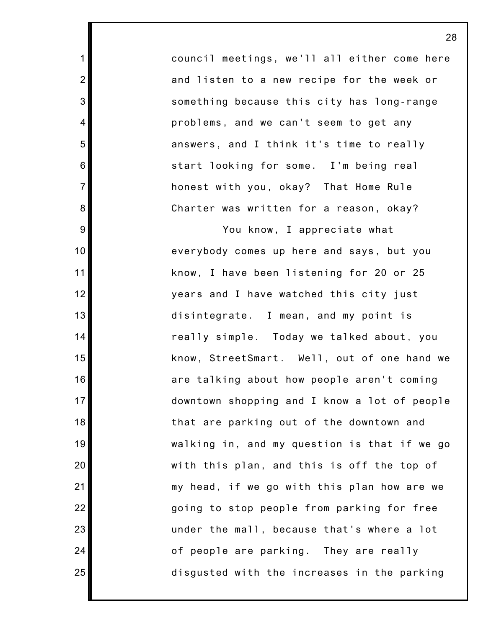council meetings, we'll all either come here and listen to a new recipe for the week or something because this city has long-range problems, and we can't seem to get any answers, and I think it's time to really start looking for some. I'm being real honest with you, okay? That Home Rule Charter was written for a reason, okay?

1

2

3

4

5

6

7

8

9

10

11

12

13

14

15

16

17

18

19

20

21

22

23

24

25

You know, I appreciate what everybody comes up here and says, but you know, I have been listening for 20 or 25 years and I have watched this city just disintegrate. I mean, and my point is really simple. Today we talked about, you know, StreetSmart. Well, out of one hand we are talking about how people aren't coming downtown shopping and I know a lot of people that are parking out of the downtown and walking in, and my question is that if we go with this plan, and this is off the top of my head, if we go with this plan how are we going to stop people from parking for free under the mall, because that's where a lot of people are parking. They are really disgusted with the increases in the parking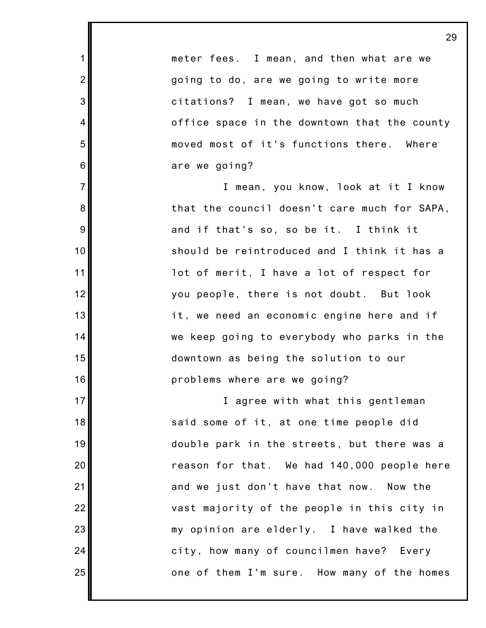meter fees. I mean, and then what are we going to do, are we going to write more citations? I mean, we have got so much office space in the downtown that the county moved most of it's functions there. Where are we going?

1

2

3

4

5

6

7

8

9

10

11

12

13

14

15

16

17

18

19

20

21

22

23

24

25

I mean, you know, look at it I know that the council doesn't care much for SAPA, and if that's so, so be it. I think it should be reintroduced and I think it has a lot of merit, I have a lot of respect for you people, there is not doubt. But look it, we need an economic engine here and if we keep going to everybody who parks in the downtown as being the solution to our problems where are we going?

I agree with what this gentleman said some of it, at one time people did double park in the streets, but there was a reason for that. We had 140,000 people here and we just don't have that now. Now the vast majority of the people in this city in my opinion are elderly. I have walked the city, how many of councilmen have? Every one of them I'm sure. How many of the homes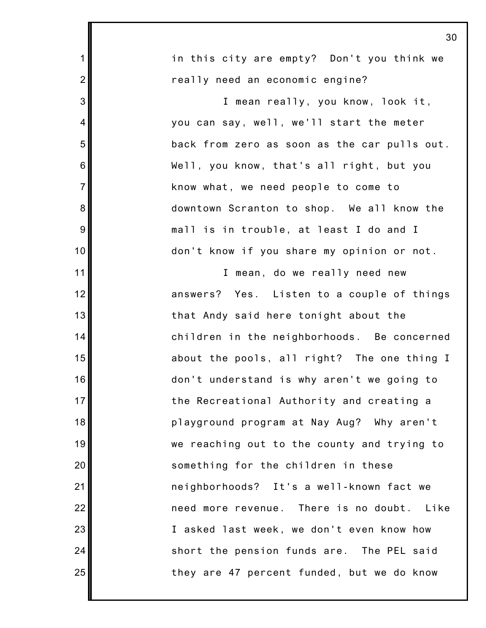| 30                                           |
|----------------------------------------------|
| in this city are empty? Don't you think we   |
| really need an economic engine?              |
| I mean really, you know, look it,            |
| you can say, well, we'll start the meter     |
| back from zero as soon as the car pulls out. |
| Well, you know, that's all right, but you    |
| know what, we need people to come to         |
| downtown Scranton to shop. We all know the   |
| mall is in trouble, at least I do and I      |
| don't know if you share my opinion or not.   |
| I mean, do we really need new                |
| answers? Yes. Listen to a couple of things   |
| that Andy said here tonight about the        |
| children in the neighborhoods. Be concerned  |
| about the pools, all right? The one thing I  |
| don't understand is why aren't we going to   |
| the Recreational Authority and creating a    |
| playground program at Nay Aug? Why aren't    |
| we reaching out to the county and trying to  |
| something for the children in these          |
| neighborhoods? It's a well-known fact we     |
| need more revenue. There is no doubt. Like   |
| I asked last week, we don't even know how    |
| short the pension funds are. The PEL said    |
| they are 47 percent funded, but we do know   |
|                                              |

Ι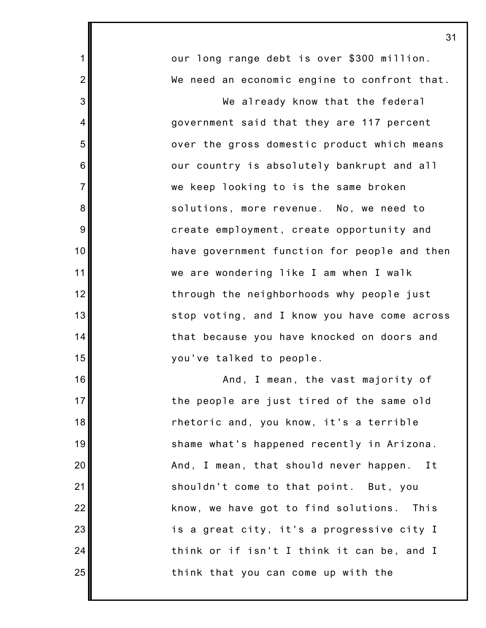1 2 3 4 5 6 7 8 9 10 11 12 13 14 15 16 17 18 19 20 21 22 23 24 25 our long range debt is over \$300 million. We need an economic engine to confront that. We already know that the federal government said that they are 117 percent over the gross domestic product which means our country is absolutely bankrupt and all we keep looking to is the same broken solutions, more revenue. No, we need to create employment, create opportunity and have government function for people and then we are wondering like I am when I walk through the neighborhoods why people just stop voting, and I know you have come across that because you have knocked on doors and you've talked to people. And, I mean, the vast majority of the people are just tired of the same old rhetoric and, you know, it's a terrible shame what's happened recently in Arizona. And, I mean, that should never happen. It shouldn't come to that point. But, you know, we have got to find solutions. This is a great city, it's a progressive city I think or if isn't I think it can be, and I think that you can come up with the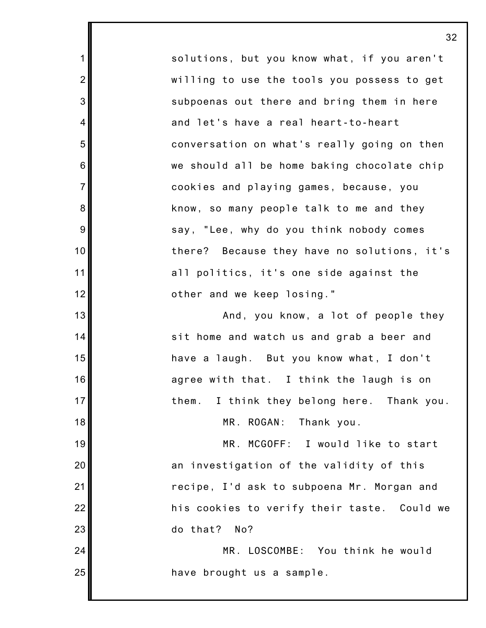solutions, but you know what, if you aren't willing to use the tools you possess to get subpoenas out there and bring them in here and let's have a real heart-to-heart conversation on what's really going on then we should all be home baking chocolate chip cookies and playing games, because, you know, so many people talk to me and they say, "Lee, why do you think nobody comes there? Because they have no solutions, it's all politics, it's one side against the other and we keep losing."

1

2

3

4

5

6

7

8

9

10

11

12

13

14

15

16

17

18

19

20

21

22

23

24

25

And, you know, a lot of people they sit home and watch us and grab a beer and have a laugh. But you know what, I don't agree with that. I think the laugh is on them. I think they belong here. Thank you.

MR. ROGAN: Thank you.

MR. MCGOFF: I would like to start an investigation of the validity of this recipe, I'd ask to subpoena Mr. Morgan and his cookies to verify their taste. Could we do that? No?

MR. LOSCOMBE: You think he would have brought us a sample.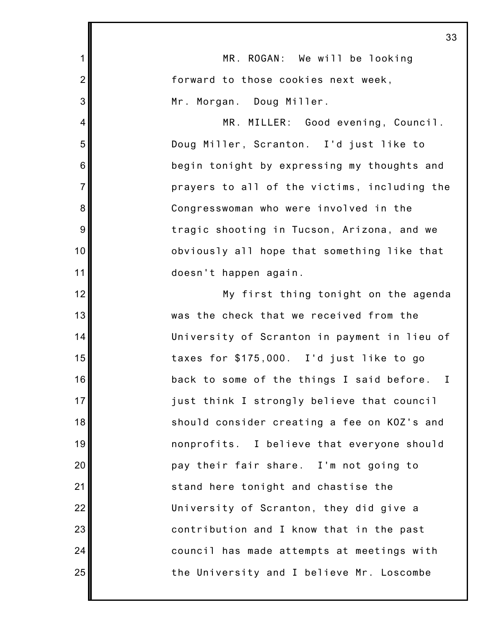|                | 33                                              |
|----------------|-------------------------------------------------|
| 1              | MR. ROGAN: We will be looking                   |
| $\overline{2}$ | forward to those cookies next week,             |
| 3              | Mr. Morgan. Doug Miller.                        |
| 4              | MR. MILLER: Good evening, Council.              |
| 5              | Doug Miller, Scranton. I'd just like to         |
| 6              | begin tonight by expressing my thoughts and     |
| $\overline{7}$ | prayers to all of the victims, including the    |
| 8              | Congresswoman who were involved in the          |
| 9              | tragic shooting in Tucson, Arizona, and we      |
| 10             | obviously all hope that something like that     |
| 11             | doesn't happen again.                           |
| 12             | My first thing tonight on the agenda            |
| 13             | was the check that we received from the         |
| 14             | University of Scranton in payment in lieu of    |
| 15             | taxes for \$175,000. I'd just like to go        |
| 16             | back to some of the things I said before.<br>I. |
| 17             | just think I strongly believe that council      |
| 18             | should consider creating a fee on KOZ's and     |
| 19             | nonprofits. I believe that everyone should      |
| 20             | pay their fair share. I'm not going to          |
| 21             | stand here tonight and chastise the             |
| 22             | University of Scranton, they did give a         |
| 23             | contribution and I know that in the past        |
| 24             | council has made attempts at meetings with      |
| 25             | the University and I believe Mr. Loscombe       |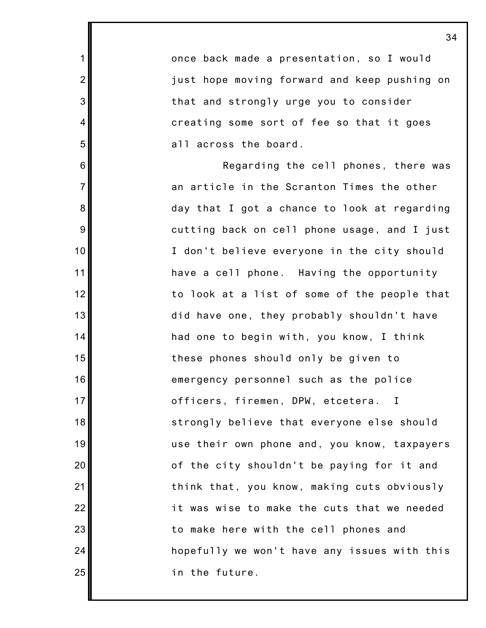once back made a presentation, so I would just hope moving forward and keep pushing on that and strongly urge you to consider creating some sort of fee so that it goes all across the board.

1

2

3

4

5

6

7

8

9

10

11

12

13

14

15

16

17

18

19

20

21

22

23

24

25

Regarding the cell phones, there was an article in the Scranton Times the other day that I got a chance to look at regarding cutting back on cell phone usage, and I just I don't believe everyone in the city should have a cell phone. Having the opportunity to look at a list of some of the people that did have one, they probably shouldn't have had one to begin with, you know, I think these phones should only be given to emergency personnel such as the police officers, firemen, DPW, etcetera. I strongly believe that everyone else should use their own phone and, you know, taxpayers of the city shouldn't be paying for it and think that, you know, making cuts obviously it was wise to make the cuts that we needed to make here with the cell phones and hopefully we won't have any issues with this in the future.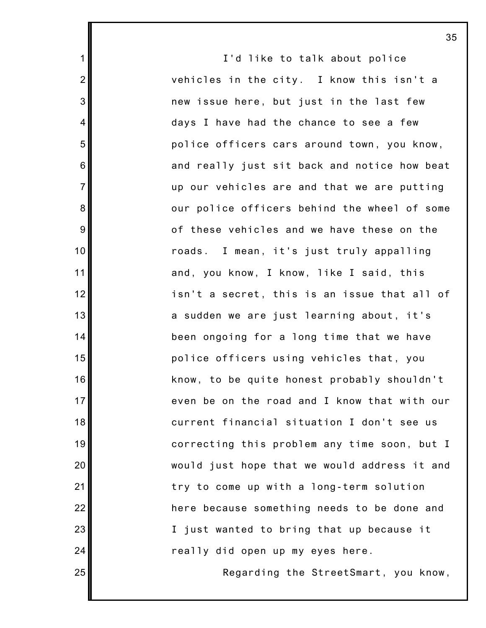I'd like to talk about police vehicles in the city. I know this isn't a new issue here, but just in the last few days I have had the chance to see a few police officers cars around town, you know, and really just sit back and notice how beat up our vehicles are and that we are putting our police officers behind the wheel of some of these vehicles and we have these on the roads. I mean, it's just truly appalling and, you know, I know, like I said, this isn't a secret, this is an issue that all of a sudden we are just learning about, it's been ongoing for a long time that we have police officers using vehicles that, you know, to be quite honest probably shouldn't even be on the road and I know that with our current financial situation I don't see us correcting this problem any time soon, but I would just hope that we would address it and try to come up with a long-term solution here because something needs to be done and I just wanted to bring that up because it really did open up my eyes here.

1

2

3

4

5

6

7

8

9

10

11

12

13

14

15

16

17

18

19

20

21

22

23

24

25

Regarding the StreetSmart, you know,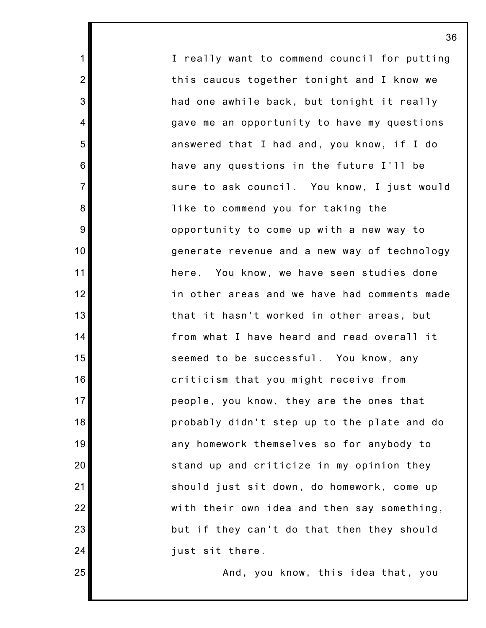I really want to commend council for putting this caucus together tonight and I know we had one awhile back, but tonight it really gave me an opportunity to have my questions answered that I had and, you know, if I do have any questions in the future I'll be sure to ask council. You know, I just would like to commend you for taking the opportunity to come up with a new way to generate revenue and a new way of technology here. You know, we have seen studies done in other areas and we have had comments made that it hasn't worked in other areas, but from what I have heard and read overall it seemed to be successful. You know, any criticism that you might receive from people, you know, they are the ones that probably didn't step up to the plate and do any homework themselves so for anybody to stand up and criticize in my opinion they should just sit down, do homework, come up with their own idea and then say something, but if they can't do that then they should just sit there.

1

2

3

4

5

6

7

8

9

10

11

12

13

14

15

16

17

18

19

20

21

22

23

24

25

And, you know, this idea that, you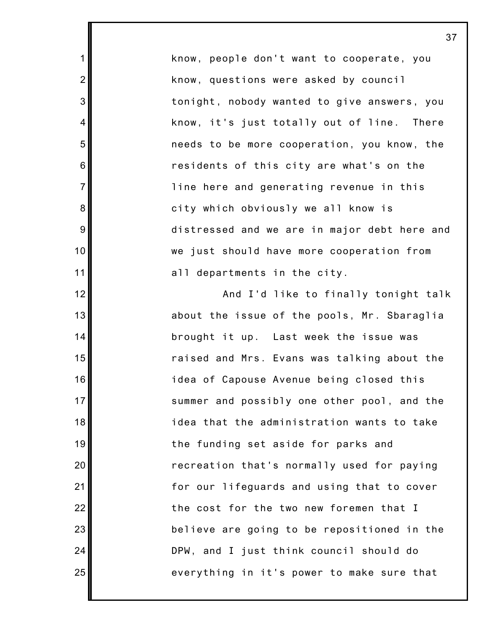know, people don't want to cooperate, you know, questions were asked by council tonight, nobody wanted to give answers, you know, it's just totally out of line. There needs to be more cooperation, you know, the residents of this city are what's on the line here and generating revenue in this city which obviously we all know is distressed and we are in major debt here and we just should have more cooperation from all departments in the city.

1

2

3

4

5

6

7

8

9

10

11

12

13

14

15

16

17

18

19

20

21

22

23

24

25

And I'd like to finally tonight talk about the issue of the pools, Mr. Sbaraglia brought it up. Last week the issue was raised and Mrs. Evans was talking about the idea of Capouse Avenue being closed this summer and possibly one other pool, and the idea that the administration wants to take the funding set aside for parks and recreation that's normally used for paying for our lifeguards and using that to cover the cost for the two new foremen that I believe are going to be repositioned in the DPW, and I just think council should do everything in it's power to make sure that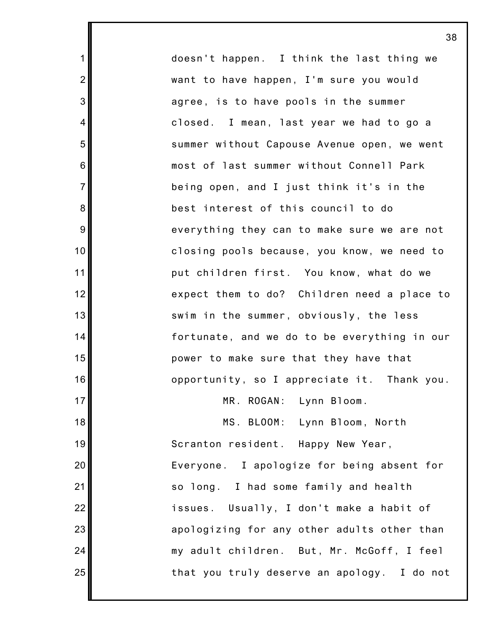doesn't happen. I think the last thing we want to have happen, I'm sure you would agree, is to have pools in the summer closed. I mean, last year we had to go a summer without Capouse Avenue open, we went most of last summer without Connell Park being open, and I just think it's in the best interest of this council to do everything they can to make sure we are not closing pools because, you know, we need to put children first. You know, what do we expect them to do? Children need a place to swim in the summer, obviously, the less fortunate, and we do to be everything in our power to make sure that they have that opportunity, so I appreciate it. Thank you. MR. ROGAN: Lynn Bloom. MS. BLOOM: Lynn Bloom, North Scranton resident. Happy New Year, Everyone. I apologize for being absent for so long. I had some family and health issues. Usually, I don't make a habit of apologizing for any other adults other than my adult children. But, Mr. McGoff, I feel

that you truly deserve an apology. I do not

1

2

3

4

5

6

7

8

9

10

11

12

13

14

15

16

17

18

19

20

21

22

23

24

25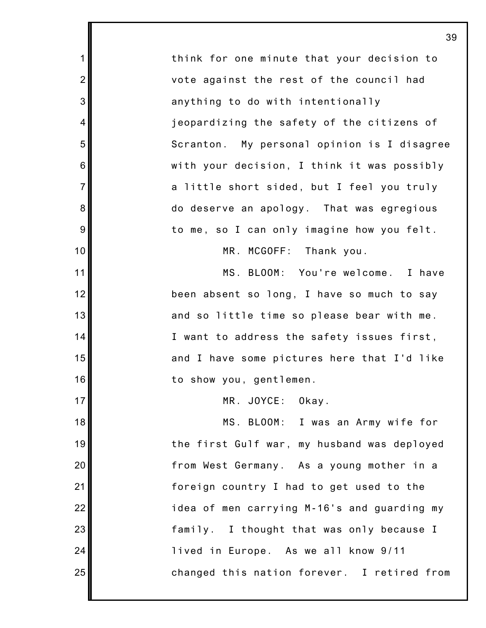think for one minute that your decision to vote against the rest of the council had anything to do with intentionally jeopardizing the safety of the citizens of Scranton. My personal opinion is I disagree with your decision, I think it was possibly a little short sided, but I feel you truly do deserve an apology. That was egregious to me, so I can only imagine how you felt. MR. MCGOFF: Thank you.

1

2

3

4

5

6

7

8

9

10

11

12

13

14

15

16

17

18

19

20

21

22

23

24

25

MS. BLOOM: You're welcome. I have been absent so long, I have so much to say and so little time so please bear with me. I want to address the safety issues first, and I have some pictures here that I'd like to show you, gentlemen.

MR. JOYCE: Okay.

MS. BLOOM: I was an Army wife for the first Gulf war, my husband was deployed from West Germany. As a young mother in a foreign country I had to get used to the idea of men carrying M-16's and guarding my family. I thought that was only because I lived in Europe. As we all know 9/11 changed this nation forever. I retired from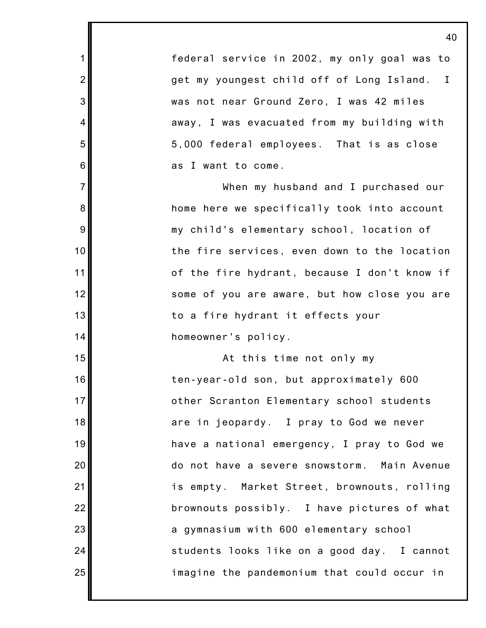federal service in 2002, my only goal was to get my youngest child off of Long Island. I was not near Ground Zero, I was 42 miles away, I was evacuated from my building with 5,000 federal employees. That is as close as I want to come.

1

2

3

4

5

6

7

8

9

10

11

12

13

14

15

16

17

18

19

20

21

22

23

24

25

When my husband and I purchased our home here we specifically took into account my child's elementary school, location of the fire services, even down to the location of the fire hydrant, because I don't know if some of you are aware, but how close you are to a fire hydrant it effects your homeowner's policy.

At this time not only my ten-year-old son, but approximately 600 other Scranton Elementary school students are in jeopardy. I pray to God we never have a national emergency, I pray to God we do not have a severe snowstorm. Main Avenue is empty. Market Street, brownouts, rolling brownouts possibly. I have pictures of what a gymnasium with 600 elementary school students looks like on a good day. I cannot imagine the pandemonium that could occur in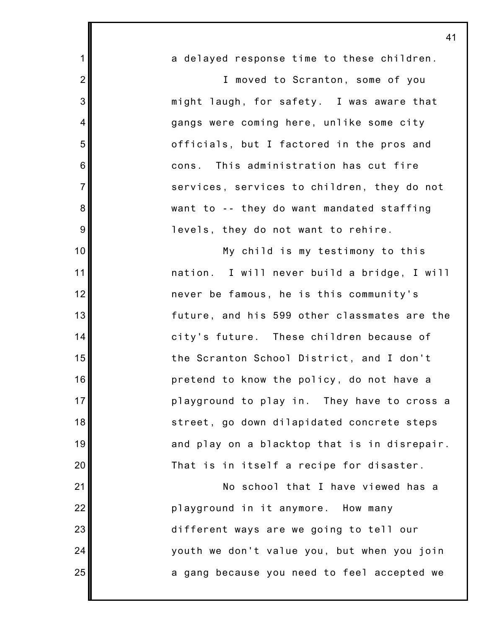| 1                | a delayed response time to these children.   |
|------------------|----------------------------------------------|
| $\overline{2}$   | I moved to Scranton, some of you             |
| 3                | might laugh, for safety. I was aware that    |
| $\overline{4}$   | gangs were coming here, unlike some city     |
| 5                | officials, but I factored in the pros and    |
| $\,6$            | This administration has cut fire<br>cons.    |
| $\overline{7}$   | services, services to children, they do not  |
| 8                | want to -- they do want mandated staffing    |
| $\boldsymbol{9}$ | levels, they do not want to rehire.          |
| 10               | My child is my testimony to this             |
| 11               | nation. I will never build a bridge, I will  |
| 12               | never be famous, he is this community's      |
| 13               | future, and his 599 other classmates are the |
| 14               | city's future. These children because of     |
| 15               | the Scranton School District, and I don't    |
| 16               | pretend to know the policy, do not have a    |
| 17               | playground to play in. They have to cross a  |
| 18               | street, go down dilapidated concrete steps   |
| 19               | and play on a blacktop that is in disrepair. |
| 20               | That is in itself a recipe for disaster.     |
| 21               | No school that I have viewed has a           |
| 22               | playground in it anymore. How many           |
| 23               | different ways are we going to tell our      |
| 24               | youth we don't value you, but when you join  |

a gang because you need to feel accepted we

25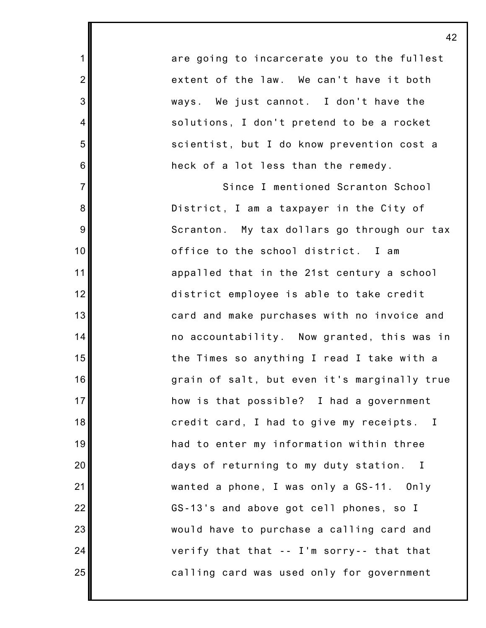are going to incarcerate you to the fullest extent of the law. We can't have it both ways. We just cannot. I don't have the solutions, I don't pretend to be a rocket scientist, but I do know prevention cost a heck of a lot less than the remedy.

1

2

3

4

5

6

7

8

9

10

11

12

13

14

15

16

17

18

19

20

21

22

23

24

25

Since I mentioned Scranton School District, I am a taxpayer in the City of Scranton. My tax dollars go through our tax office to the school district. I am appalled that in the 21st century a school district employee is able to take credit card and make purchases with no invoice and no accountability. Now granted, this was in the Times so anything I read I take with a grain of salt, but even it's marginally true how is that possible? I had a government credit card, I had to give my receipts. I had to enter my information within three days of returning to my duty station. I wanted a phone, I was only a GS-11. Only GS-13's and above got cell phones, so I would have to purchase a calling card and verify that that -- I'm sorry-- that that calling card was used only for government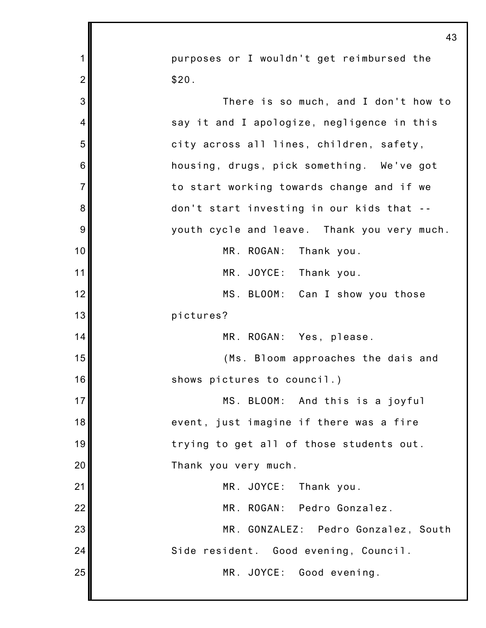|                | 43                                          |
|----------------|---------------------------------------------|
| 1              | purposes or I wouldn't get reimbursed the   |
| $\overline{2}$ | \$20.                                       |
| 3              | There is so much, and I don't how to        |
| 4              | say it and I apologize, negligence in this  |
| 5              | city across all lines, children, safety,    |
| 6              | housing, drugs, pick something. We've got   |
| $\overline{7}$ | to start working towards change and if we   |
| 8              | don't start investing in our kids that --   |
| 9              | youth cycle and leave. Thank you very much. |
| 10             | MR. ROGAN: Thank you.                       |
| 11             | MR. JOYCE: Thank you.                       |
| 12             | MS. BLOOM: Can I show you those             |
| 13             | pictures?                                   |
| 14             | MR. ROGAN: Yes, please.                     |
| 15             | (Ms. Bloom approaches the dais and          |
| 16             | shows pictures to council.)                 |
| 17             | MS. BLOOM: And this is a joyful             |
| 18             | event, just imagine if there was a fire     |
| 19             | trying to get all of those students out.    |
| 20             | Thank you very much.                        |
| 21             | MR. JOYCE:<br>Thank you.                    |
| 22             | MR. ROGAN: Pedro Gonzalez.                  |
| 23             | MR. GONZALEZ: Pedro Gonzalez, South         |
| 24             | Side resident. Good evening, Council.       |
| 25             | MR. JOYCE: Good evening.                    |
|                |                                             |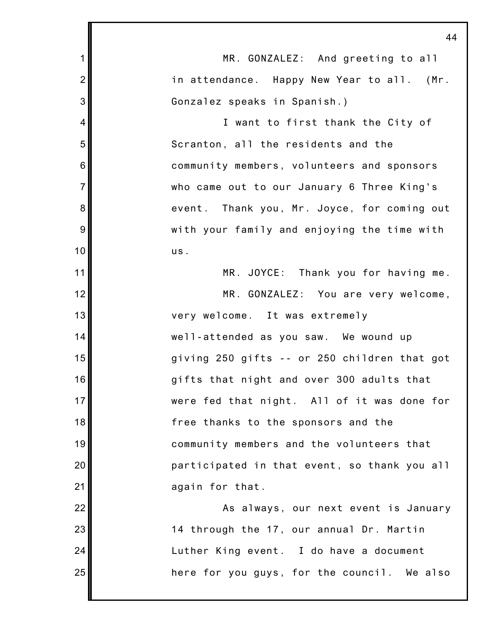|                | 44                                           |
|----------------|----------------------------------------------|
| $\mathbf 1$    | MR. GONZALEZ: And greeting to all            |
| $\overline{2}$ | in attendance. Happy New Year to all. (Mr.   |
| 3              | Gonzalez speaks in Spanish.)                 |
| 4              | I want to first thank the City of            |
| 5              | Scranton, all the residents and the          |
| 6              | community members, volunteers and sponsors   |
| $\overline{7}$ | who came out to our January 6 Three King's   |
| 8              | event. Thank you, Mr. Joyce, for coming out  |
| 9              | with your family and enjoying the time with  |
| 10             | us.                                          |
| 11             | MR. JOYCE: Thank you for having me.          |
| 12             | MR. GONZALEZ: You are very welcome,          |
| 13             | very welcome. It was extremely               |
| 14             | well-attended as you saw. We wound up        |
| 15             | giving 250 gifts -- or 250 children that got |
| 16             | gifts that night and over 300 adults that    |
| 17             | were fed that night. All of it was done for  |
| 18             | free thanks to the sponsors and the          |
| 19             | community members and the volunteers that    |
| 20             | participated in that event, so thank you all |
| 21             | again for that.                              |
| 22             | As always, our next event is January         |
| 23             | 14 through the 17, our annual Dr. Martin     |
| 24             | Luther King event. I do have a document      |
| 25             | here for you guys, for the council. We also  |
|                |                                              |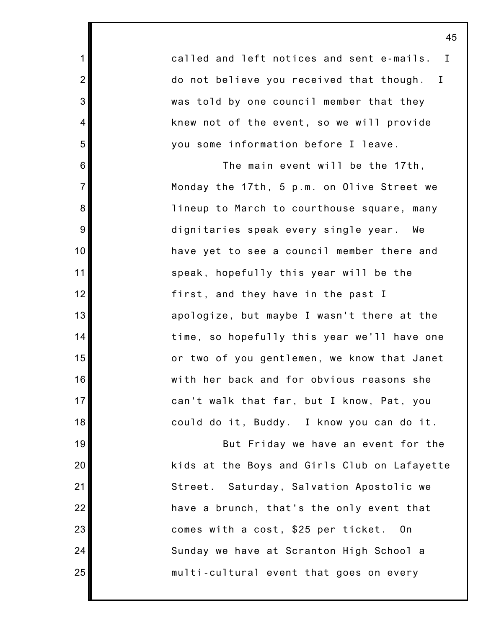called and left notices and sent e-mails. I do not believe you received that though. I was told by one council member that they knew not of the event, so we will provide you some information before I leave.

1

2

3

4

5

6

7

8

9

10

11

12

13

14

15

16

17

18

19

20

21

22

23

24

25

The main event will be the 17th, Monday the 17th, 5 p.m. on Olive Street we lineup to March to courthouse square, many dignitaries speak every single year. We have yet to see a council member there and speak, hopefully this year will be the first, and they have in the past I apologize, but maybe I wasn't there at the time, so hopefully this year we'll have one or two of you gentlemen, we know that Janet with her back and for obvious reasons she can't walk that far, but I know, Pat, you could do it, Buddy. I know you can do it.

But Friday we have an event for the kids at the Boys and Girls Club on Lafayette Street. Saturday, Salvation Apostolic we have a brunch, that's the only event that comes with a cost, \$25 per ticket. On Sunday we have at Scranton High School a multi-cultural event that goes on every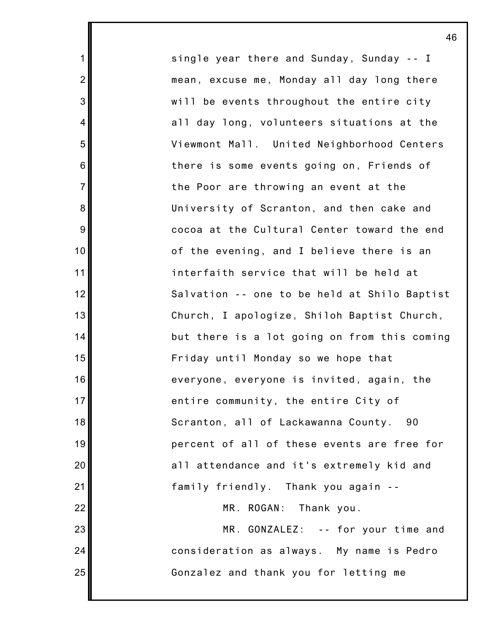single year there and Sunday, Sunday -- I mean, excuse me, Monday all day long there will be events throughout the entire city all day long, volunteers situations at the Viewmont Mall. United Neighborhood Centers there is some events going on, Friends of the Poor are throwing an event at the University of Scranton, and then cake and cocoa at the Cultural Center toward the end of the evening, and I believe there is an interfaith service that will be held at Salvation -- one to be held at Shilo Baptist Church, I apologize, Shiloh Baptist Church, but there is a lot going on from this coming Friday until Monday so we hope that everyone, everyone is invited, again, the entire community, the entire City of Scranton, all of Lackawanna County. 90 percent of all of these events are free for all attendance and it's extremely kid and family friendly. Thank you again -- MR. ROGAN: Thank you.

1

2

3

4

5

6

7

8

9

10

11

12

13

14

15

16

17

18

19

20

21

22

23

24

25

MR. GONZALEZ: -- for your time and consideration as always. My name is Pedro Gonzalez and thank you for letting me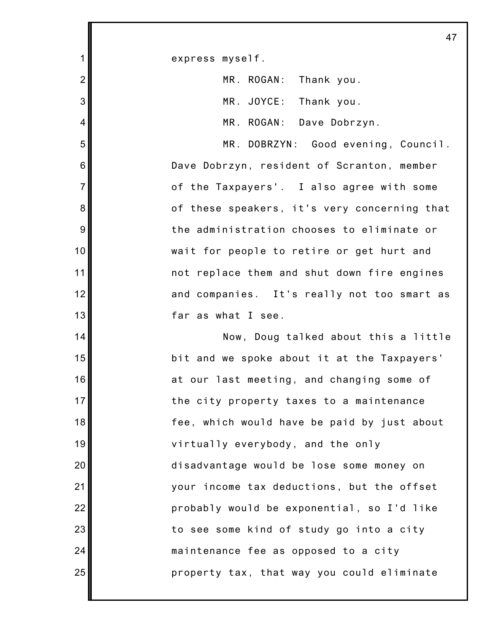express myself.

1

2

3

4

5

6

7

8

9

10

11

12

13

14

15

16

17

18

19

20

21

22

23

24

25

| MR. ROGAN: Thank you. |  |
|-----------------------|--|
| MR. JOYCE: Thank you. |  |

MR. ROGAN: Dave Dobrzyn.

MR. DOBRZYN: Good evening, Council. Dave Dobrzyn, resident of Scranton, member of the Taxpayers'. I also agree with some of these speakers, it's very concerning that the administration chooses to eliminate or wait for people to retire or get hurt and not replace them and shut down fire engines and companies. It's really not too smart as far as what I see.

Now, Doug talked about this a little bit and we spoke about it at the Taxpayers' at our last meeting, and changing some of the city property taxes to a maintenance fee, which would have be paid by just about virtually everybody, and the only disadvantage would be lose some money on your income tax deductions, but the offset probably would be exponential, so I'd like to see some kind of study go into a city maintenance fee as opposed to a city property tax, that way you could eliminate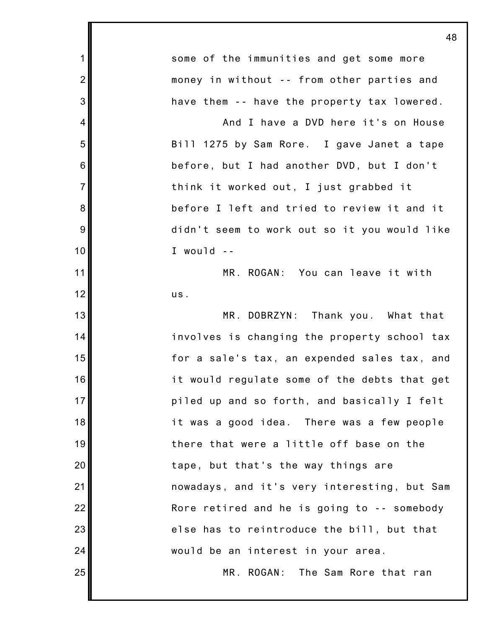|                | 48                                           |
|----------------|----------------------------------------------|
| $\mathbf 1$    | some of the immunities and get some more     |
| $\overline{2}$ | money in without -- from other parties and   |
| 3              | have them -- have the property tax lowered.  |
| 4              | And I have a DVD here it's on House          |
| 5              | Bill 1275 by Sam Rore. I gave Janet a tape   |
| 6              | before, but I had another DVD, but I don't   |
| $\overline{7}$ | think it worked out, I just grabbed it       |
| 8              | before I left and tried to review it and it  |
| 9              | didn't seem to work out so it you would like |
| 10             | I would --                                   |
| 11             | MR. ROGAN: You can leave it with             |
| 12             | us.                                          |
| 13             | MR. DOBRZYN: Thank you. What that            |
| 14             | involves is changing the property school tax |
| 15             | for a sale's tax, an expended sales tax, and |
| 16             | it would regulate some of the debts that get |
| 17             | piled up and so forth, and basically I felt  |
| 18             | it was a good idea. There was a few people   |
| 19             | there that were a little off base on the     |
| 20             | tape, but that's the way things are          |
| 21             | nowadays, and it's very interesting, but Sam |
| 22             | Rore retired and he is going to -- somebody  |
| 23             | else has to reintroduce the bill, but that   |
| 24             | would be an interest in your area.           |
| 25             | MR. ROGAN: The Sam Rore that ran             |
|                |                                              |

Ш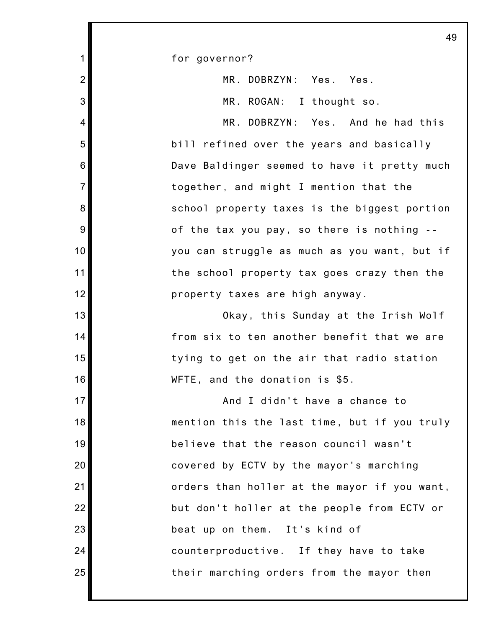1 2 3 4 5 6 7 8 9 10 11 12 13 14 15 16 17 18 19 20 21 22 23 24 25 49 for governor? MR. DOBRZYN: Yes. Yes. MR. ROGAN: I thought so. MR. DOBRZYN: Yes. And he had this bill refined over the years and basically Dave Baldinger seemed to have it pretty much together, and might I mention that the school property taxes is the biggest portion of the tax you pay, so there is nothing - you can struggle as much as you want, but if the school property tax goes crazy then the property taxes are high anyway. Okay, this Sunday at the Irish Wolf from six to ten another benefit that we are tying to get on the air that radio station WFTE, and the donation is \$5. And I didn't have a chance to mention this the last time, but if you truly believe that the reason council wasn't covered by ECTV by the mayor's marching orders than holler at the mayor if you want, but don't holler at the people from ECTV or beat up on them. It's kind of counterproductive. If they have to take their marching orders from the mayor then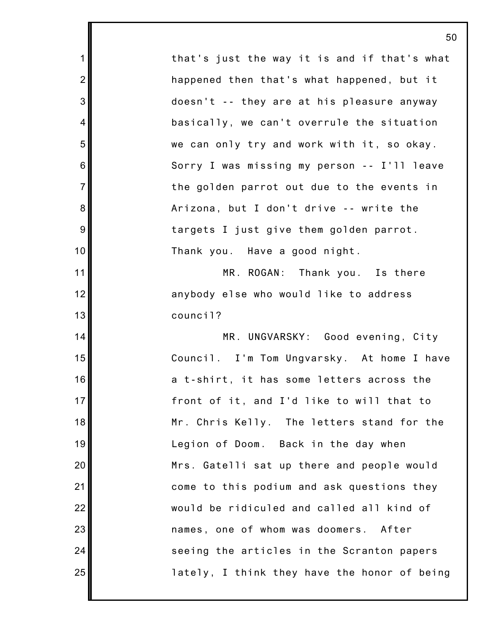that's just the way it is and if that's what happened then that's what happened, but it doesn't -- they are at his pleasure anyway basically, we can't overrule the situation we can only try and work with it, so okay. Sorry I was missing my person -- I'll leave the golden parrot out due to the events in Arizona, but I don't drive -- write the targets I just give them golden parrot. Thank you. Have a good night.

1

2

3

4

5

6

7

8

9

10

11

12

13

14

15

16

17

18

19

20

21

22

23

24

25

MR. ROGAN: Thank you. Is there anybody else who would like to address council?

MR. UNGVARSKY: Good evening, City Council. I'm Tom Ungvarsky. At home I have a t-shirt, it has some letters across the front of it, and I'd like to will that to Mr. Chris Kelly. The letters stand for the Legion of Doom. Back in the day when Mrs. Gatelli sat up there and people would come to this podium and ask questions they would be ridiculed and called all kind of names, one of whom was doomers. After seeing the articles in the Scranton papers lately, I think they have the honor of being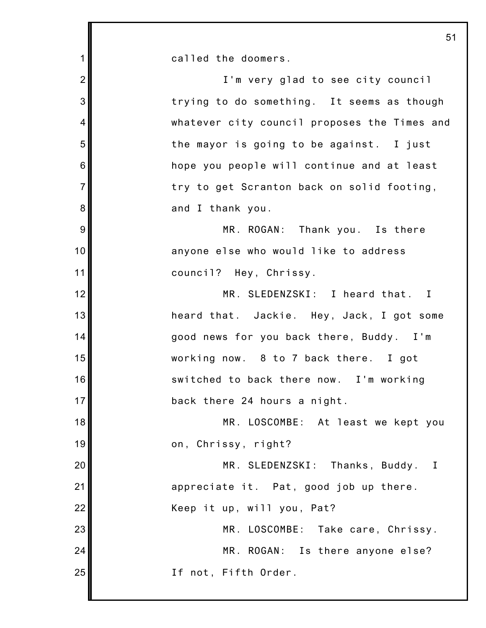1 2 3 4 5 6 7 8 9 10 11 12 13 14 15 16 17 18 19 20 21 22 23 24 25 called the doomers. I'm very glad to see city council trying to do something. It seems as though whatever city council proposes the Times and the mayor is going to be against. I just hope you people will continue and at least try to get Scranton back on solid footing, and I thank you. MR. ROGAN: Thank you. Is there anyone else who would like to address council? Hey, Chrissy. MR. SLEDENZSKI: I heard that. I heard that. Jackie. Hey, Jack, I got some good news for you back there, Buddy. I'm working now. 8 to 7 back there. I got switched to back there now. I'm working back there 24 hours a night. MR. LOSCOMBE: At least we kept you on, Chrissy, right? MR. SLEDENZSKI: Thanks, Buddy. I appreciate it. Pat, good job up there. Keep it up, will you, Pat? MR. LOSCOMBE: Take care, Chrissy. MR. ROGAN: Is there anyone else? If not, Fifth Order.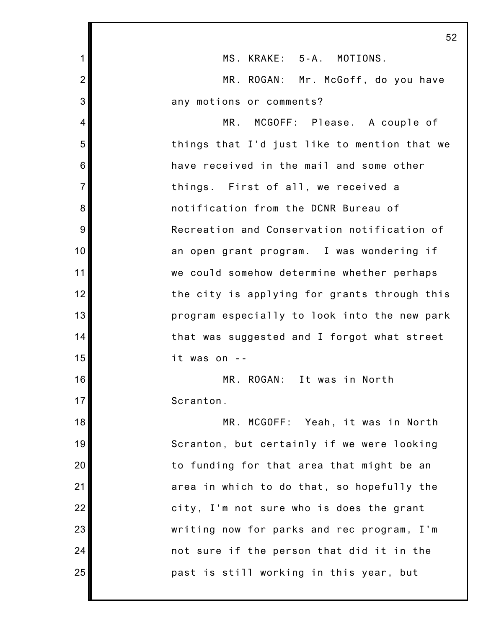|                | 52                                           |
|----------------|----------------------------------------------|
| 1              | MS. KRAKE: 5-A. MOTIONS.                     |
| $\overline{2}$ | MR. ROGAN: Mr. McGoff, do you have           |
| 3              | any motions or comments?                     |
| 4              | MR. MCGOFF: Please. A couple of              |
| 5              | things that I'd just like to mention that we |
| 6              | have received in the mail and some other     |
| $\overline{7}$ | things. First of all, we received a          |
| 8              | notification from the DCNR Bureau of         |
| 9              | Recreation and Conservation notification of  |
| 10             | an open grant program. I was wondering if    |
| 11             | we could somehow determine whether perhaps   |
| 12             | the city is applying for grants through this |
| 13             | program especially to look into the new park |
| 14             | that was suggested and I forgot what street  |
| 15             | it was on                                    |
| 16             | MR. ROGAN: It was in North                   |
| 17             | Scranton.                                    |
| 18             | MR. MCGOFF: Yeah, it was in North            |
| 19             | Scranton, but certainly if we were looking   |
| 20             | to funding for that area that might be an    |
| 21             | area in which to do that, so hopefully the   |
| 22             | city, I'm not sure who is does the grant     |
| 23             | writing now for parks and rec program, I'm   |
| 24             | not sure if the person that did it in the    |
| 25             | past is still working in this year, but      |
|                |                                              |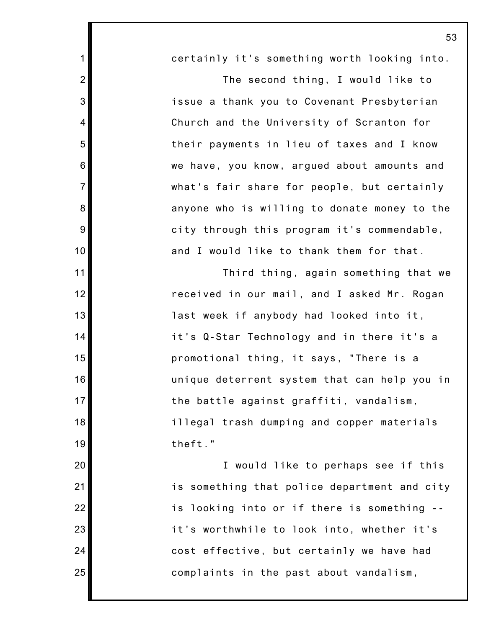2 3 4 5 6 7 8 9 10 12 13 14 15 16 17 18 19 20 21 22 23 certainly it's something worth looking into. The second thing, I would like to issue a thank you to Covenant Presbyterian Church and the University of Scranton for their payments in lieu of taxes and I know we have, you know, argued about amounts and what's fair share for people, but certainly anyone who is willing to donate money to the city through this program it's commendable, and I would like to thank them for that. Third thing, again something that we received in our mail, and I asked Mr. Rogan last week if anybody had looked into it, it's Q-Star Technology and in there it's a promotional thing, it says, "There is a unique deterrent system that can help you in the battle against graffiti, vandalism, illegal trash dumping and copper materials theft." I would like to perhaps see if this is something that police department and city is looking into or if there is something - it's worthwhile to look into, whether it's

cost effective, but certainly we have had

complaints in the past about vandalism,

25

24

1

11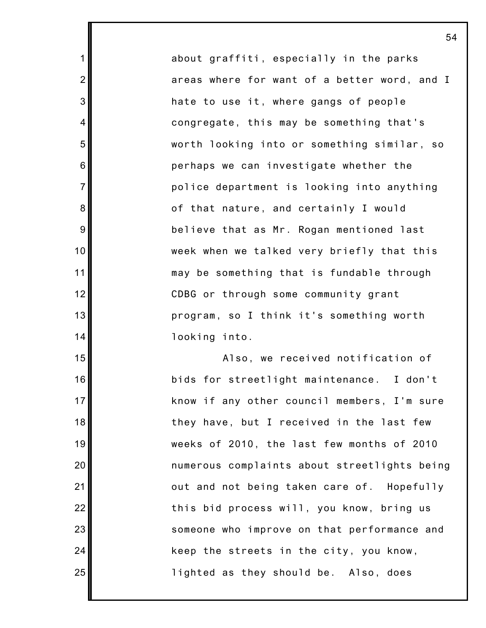about graffiti, especially in the parks areas where for want of a better word, and I hate to use it, where gangs of people congregate, this may be something that's worth looking into or something similar, so perhaps we can investigate whether the police department is looking into anything of that nature, and certainly I would believe that as Mr. Rogan mentioned last week when we talked very briefly that this may be something that is fundable through CDBG or through some community grant program, so I think it's something worth looking into.

1

2

3

4

5

6

7

8

9

10

11

12

13

14

15

16

17

18

19

20

21

22

23

24

25

Also, we received notification of bids for streetlight maintenance. I don't know if any other council members, I'm sure they have, but I received in the last few weeks of 2010, the last few months of 2010 numerous complaints about streetlights being out and not being taken care of. Hopefully this bid process will, you know, bring us someone who improve on that performance and keep the streets in the city, you know, lighted as they should be. Also, does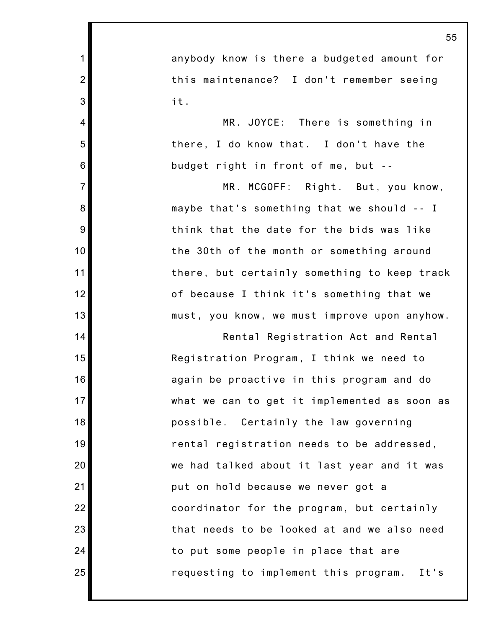55 anybody know is there a budgeted amount for this maintenance? I don't remember seeing it. MR. JOYCE: There is something in there, I do know that. I don't have the budget right in front of me, but -- MR. MCGOFF: Right. But, you know, maybe that's something that we should -- I think that the date for the bids was like the 30th of the month or something around there, but certainly something to keep track of because I think it's something that we must, you know, we must improve upon anyhow. Rental Registration Act and Rental Registration Program, I think we need to again be proactive in this program and do what we can to get it implemented as soon as possible. Certainly the law governing rental registration needs to be addressed, we had talked about it last year and it was put on hold because we never got a coordinator for the program, but certainly that needs to be looked at and we also need to put some people in place that are requesting to implement this program. It's

1

2

3

4

5

6

7

8

9

10

11

12

13

14

15

16

17

18

19

20

21

22

23

24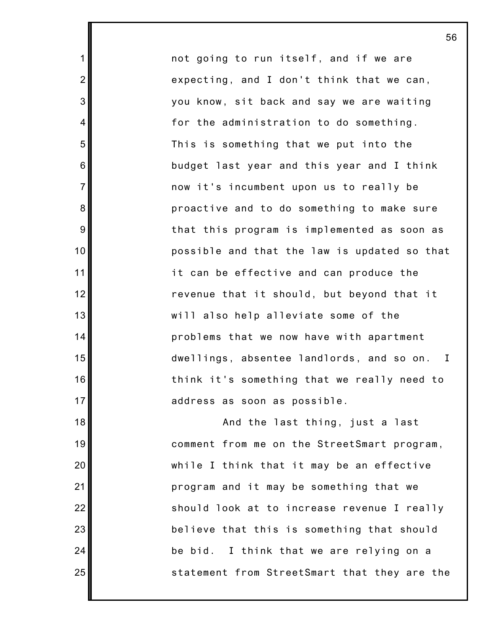not going to run itself, and if we are expecting, and I don't think that we can, you know, sit back and say we are waiting for the administration to do something. This is something that we put into the budget last year and this year and I think now it's incumbent upon us to really be proactive and to do something to make sure that this program is implemented as soon as possible and that the law is updated so that it can be effective and can produce the revenue that it should, but beyond that it will also help alleviate some of the problems that we now have with apartment dwellings, absentee landlords, and so on. I think it's something that we really need to address as soon as possible.

1

2

3

4

5

6

7

8

9

10

11

12

13

14

15

16

17

18

19

20

21

22

23

24

25

And the last thing, just a last comment from me on the StreetSmart program, while I think that it may be an effective program and it may be something that we should look at to increase revenue I really believe that this is something that should be bid. I think that we are relying on a statement from StreetSmart that they are the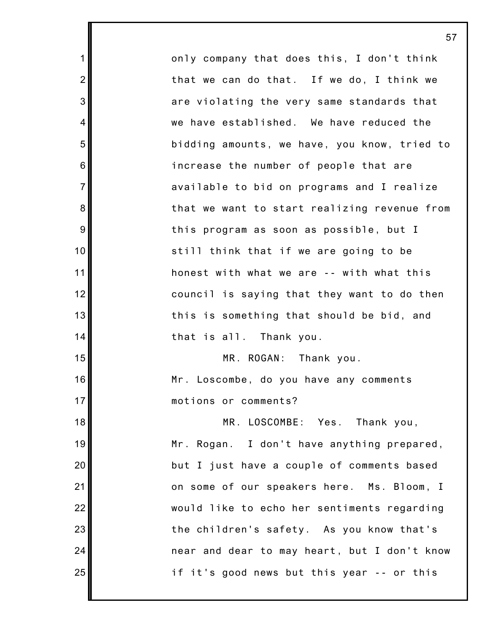only company that does this, I don't think that we can do that. If we do, I think we are violating the very same standards that we have established. We have reduced the bidding amounts, we have, you know, tried to increase the number of people that are available to bid on programs and I realize that we want to start realizing revenue from this program as soon as possible, but I still think that if we are going to be honest with what we are -- with what this council is saying that they want to do then this is something that should be bid, and that is all. Thank you. MR. ROGAN: Thank you. Mr. Loscombe, do you have any comments motions or comments? MR. LOSCOMBE: Yes. Thank you, Mr. Rogan. I don't have anything prepared, but I just have a couple of comments based on some of our speakers here. Ms. Bloom, I would like to echo her sentiments regarding the children's safety. As you know that's near and dear to may heart, but I don't know if it's good news but this year -- or this

1

2

3

4

5

6

7

8

9

10

11

12

13

14

15

16

17

18

19

20

21

22

23

24

25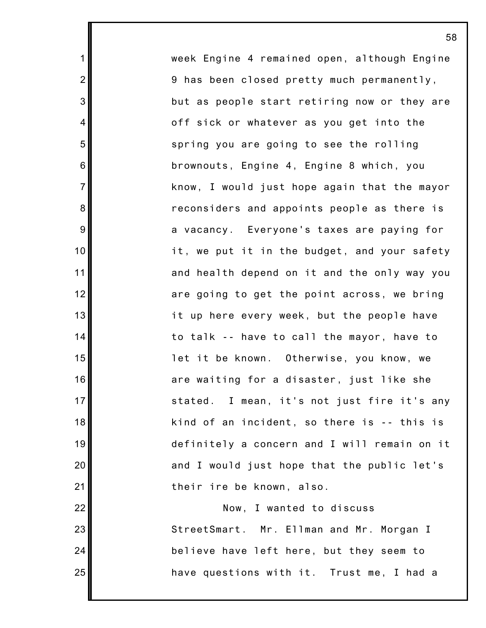week Engine 4 remained open, although Engine 9 has been closed pretty much permanently, but as people start retiring now or they are off sick or whatever as you get into the spring you are going to see the rolling brownouts, Engine 4, Engine 8 which, you know, I would just hope again that the mayor reconsiders and appoints people as there is a vacancy. Everyone's taxes are paying for it, we put it in the budget, and your safety and health depend on it and the only way you are going to get the point across, we bring it up here every week, but the people have to talk -- have to call the mayor, have to let it be known. Otherwise, you know, we are waiting for a disaster, just like she stated. I mean, it's not just fire it's any kind of an incident, so there is -- this is definitely a concern and I will remain on it and I would just hope that the public let's their ire be known, also.

1

2

3

4

5

6

7

8

9

10

11

12

13

14

15

16

17

18

19

20

21

22

23

24

25

Now, I wanted to discuss StreetSmart. Mr. Ellman and Mr. Morgan I believe have left here, but they seem to have questions with it. Trust me, I had a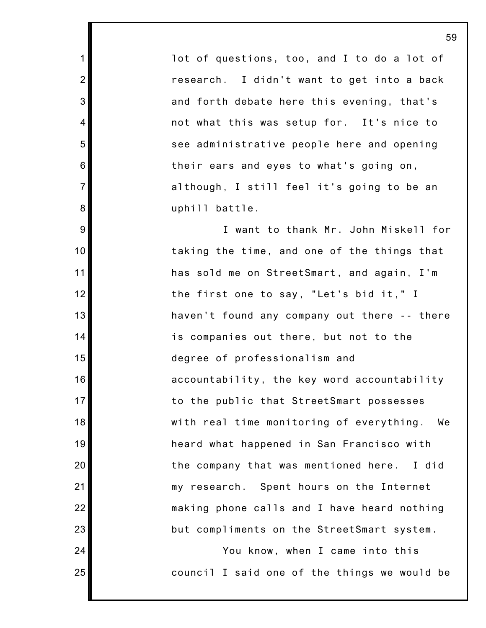lot of questions, too, and I to do a lot of research. I didn't want to get into a back and forth debate here this evening, that's not what this was setup for. It's nice to see administrative people here and opening their ears and eyes to what's going on, although, I still feel it's going to be an uphill battle.

1

2

3

4

5

6

7

8

9

10

11

12

13

14

15

16

17

18

19

20

21

22

23

24

25

I want to thank Mr. John Miskell for taking the time, and one of the things that has sold me on StreetSmart, and again, I'm the first one to say, "Let's bid it," I haven't found any company out there -- there is companies out there, but not to the degree of professionalism and accountability, the key word accountability to the public that StreetSmart possesses with real time monitoring of everything. We heard what happened in San Francisco with the company that was mentioned here. I did my research. Spent hours on the Internet making phone calls and I have heard nothing but compliments on the StreetSmart system.

You know, when I came into this council I said one of the things we would be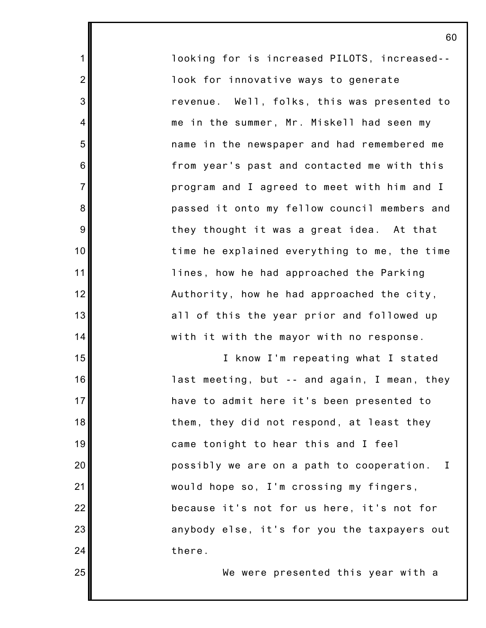looking for is increased PILOTS, increased- look for innovative ways to generate revenue. Well, folks, this was presented to me in the summer, Mr. Miskell had seen my name in the newspaper and had remembered me from year's past and contacted me with this program and I agreed to meet with him and I passed it onto my fellow council members and they thought it was a great idea. At that time he explained everything to me, the time lines, how he had approached the Parking Authority, how he had approached the city, all of this the year prior and followed up with it with the mayor with no response.

1

2

3

4

5

6

7

8

9

10

11

12

13

14

15

16

17

18

19

20

21

22

23

24

25

I know I'm repeating what I stated last meeting, but -- and again, I mean, they have to admit here it's been presented to them, they did not respond, at least they came tonight to hear this and I feel possibly we are on a path to cooperation. I would hope so, I'm crossing my fingers, because it's not for us here, it's not for anybody else, it's for you the taxpayers out there.

We were presented this year with a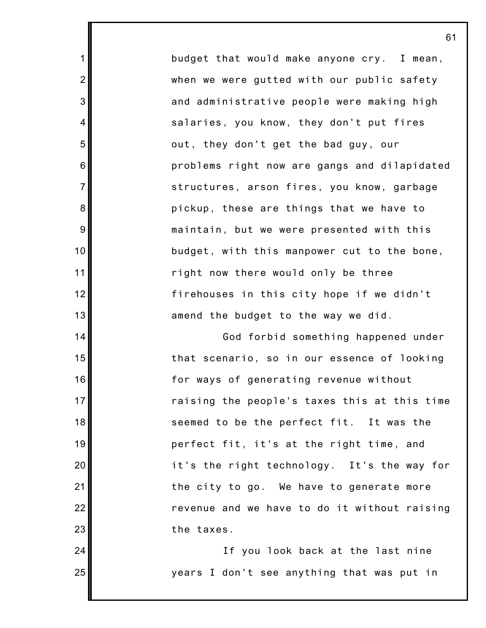budget that would make anyone cry. I mean, when we were gutted with our public safety and administrative people were making high salaries, you know, they don't put fires out, they don't get the bad guy, our problems right now are gangs and dilapidated structures, arson fires, you know, garbage pickup, these are things that we have to maintain, but we were presented with this budget, with this manpower cut to the bone, right now there would only be three firehouses in this city hope if we didn't amend the budget to the way we did.

1

2

3

4

5

6

7

8

9

10

11

12

13

14

15

16

17

18

19

20

21

22

23

24

25

God forbid something happened under that scenario, so in our essence of looking for ways of generating revenue without raising the people's taxes this at this time seemed to be the perfect fit. It was the perfect fit, it's at the right time, and it's the right technology. It's the way for the city to go. We have to generate more revenue and we have to do it without raising the taxes.

If you look back at the last nine years I don't see anything that was put in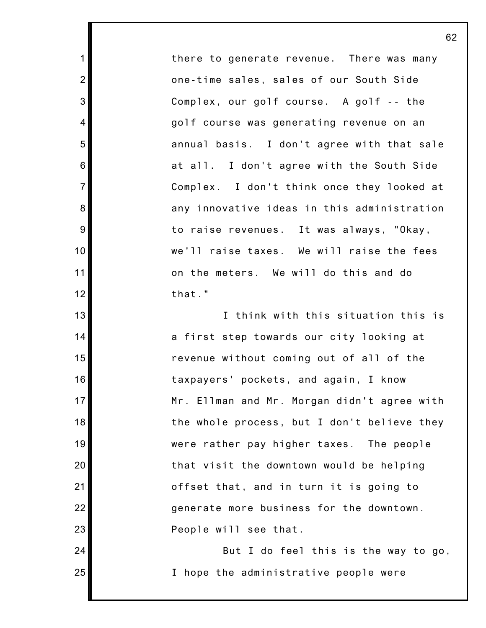there to generate revenue. There was many one-time sales, sales of our South Side Complex, our golf course. A golf -- the golf course was generating revenue on an annual basis. I don't agree with that sale at all. I don't agree with the South Side Complex. I don't think once they looked at any innovative ideas in this administration to raise revenues. It was always, "Okay, we'll raise taxes. We will raise the fees on the meters. We will do this and do that."

1

2

3

4

5

6

7

8

9

10

11

12

13

14

15

16

17

18

19

20

21

22

23

24

25

I think with this situation this is a first step towards our city looking at revenue without coming out of all of the taxpayers' pockets, and again, I know Mr. Ellman and Mr. Morgan didn't agree with the whole process, but I don't believe they were rather pay higher taxes. The people that visit the downtown would be helping offset that, and in turn it is going to generate more business for the downtown. People will see that.

But I do feel this is the way to go, I hope the administrative people were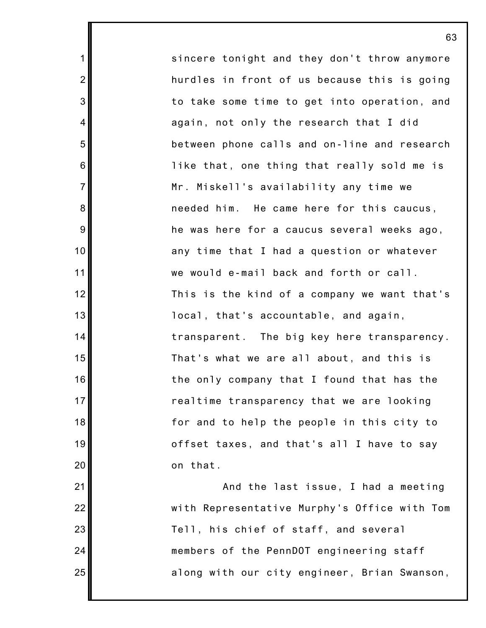sincere tonight and they don't throw anymore hurdles in front of us because this is going to take some time to get into operation, and again, not only the research that I did between phone calls and on-line and research like that, one thing that really sold me is Mr. Miskell's availability any time we needed him. He came here for this caucus, he was here for a caucus several weeks ago, any time that I had a question or whatever we would e-mail back and forth or call. This is the kind of a company we want that's local, that's accountable, and again, transparent. The big key here transparency. That's what we are all about, and this is the only company that I found that has the realtime transparency that we are looking for and to help the people in this city to offset taxes, and that's all I have to say on that.

1

2

3

4

5

6

7

8

9

10

11

12

13

14

15

16

17

18

19

20

21

22

23

24

25

And the last issue, I had a meeting with Representative Murphy's Office with Tom Tell, his chief of staff, and several members of the PennDOT engineering staff along with our city engineer, Brian Swanson,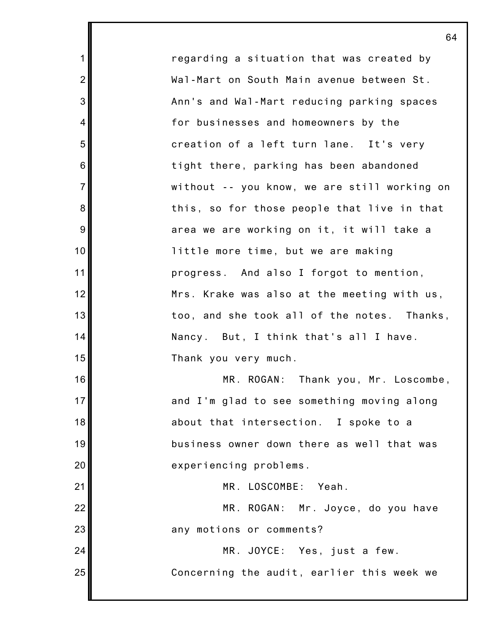regarding a situation that was created by Wal-Mart on South Main avenue between St. Ann's and Wal-Mart reducing parking spaces for businesses and homeowners by the creation of a left turn lane. It's very tight there, parking has been abandoned without -- you know, we are still working on this, so for those people that live in that area we are working on it, it will take a little more time, but we are making progress. And also I forgot to mention, Mrs. Krake was also at the meeting with us, too, and she took all of the notes. Thanks, Nancy. But, I think that's all I have. Thank you very much. MR. ROGAN: Thank you, Mr. Loscombe,

1

2

3

4

5

6

7

8

9

10

11

12

13

14

15

16

17

18

19

20

21

23

24

25

and I'm glad to see something moving along about that intersection. I spoke to a business owner down there as well that was experiencing problems.

MR. LOSCOMBE: Yeah.

22 MR. ROGAN: Mr. Joyce, do you have any motions or comments?

> MR. JOYCE: Yes, just a few. Concerning the audit, earlier this week we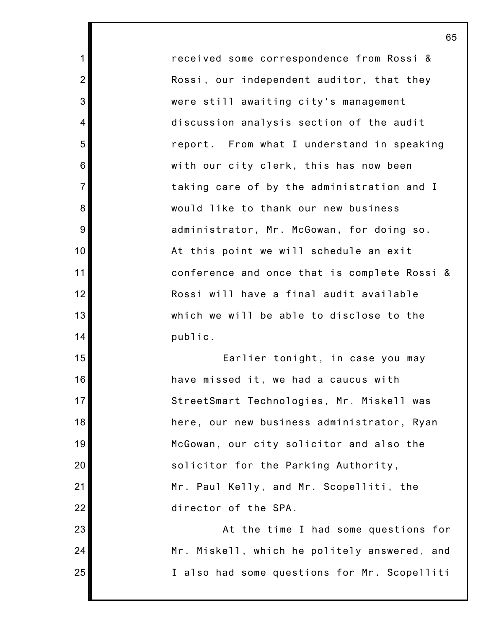received some correspondence from Rossi & Rossi, our independent auditor, that they were still awaiting city's management discussion analysis section of the audit report. From what I understand in speaking with our city clerk, this has now been taking care of by the administration and I would like to thank our new business administrator, Mr. McGowan, for doing so. At this point we will schedule an exit conference and once that is complete Rossi & Rossi will have a final audit available which we will be able to disclose to the public.

1

2

3

4

5

6

7

8

9

10

11

12

13

14

15

16

17

18

19

20

21

22

23

24

25

Earlier tonight, in case you may have missed it, we had a caucus with StreetSmart Technologies, Mr. Miskell was here, our new business administrator, Ryan McGowan, our city solicitor and also the solicitor for the Parking Authority, Mr. Paul Kelly, and Mr. Scopelliti, the director of the SPA.

At the time I had some questions for Mr. Miskell, which he politely answered, and I also had some questions for Mr. Scopelliti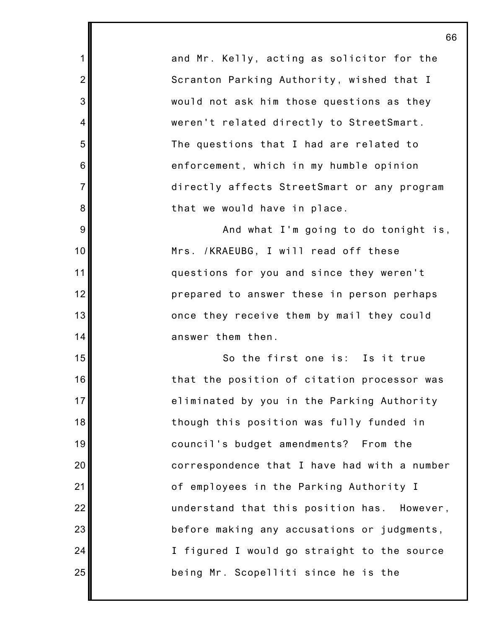and Mr. Kelly, acting as solicitor for the Scranton Parking Authority, wished that I would not ask him those questions as they weren't related directly to StreetSmart. The questions that I had are related to enforcement, which in my humble opinion directly affects StreetSmart or any program that we would have in place.

1

2

3

4

5

6

7

8

9

10

11

12

13

14

15

16

17

18

19

20

21

22

23

24

25

And what I'm going to do tonight is, Mrs. /KRAEUBG, I will read off these questions for you and since they weren't prepared to answer these in person perhaps once they receive them by mail they could answer them then.

So the first one is: Is it true that the position of citation processor was eliminated by you in the Parking Authority though this position was fully funded in council's budget amendments? From the correspondence that I have had with a number of employees in the Parking Authority I understand that this position has. However, before making any accusations or judgments, I figured I would go straight to the source being Mr. Scopelliti since he is the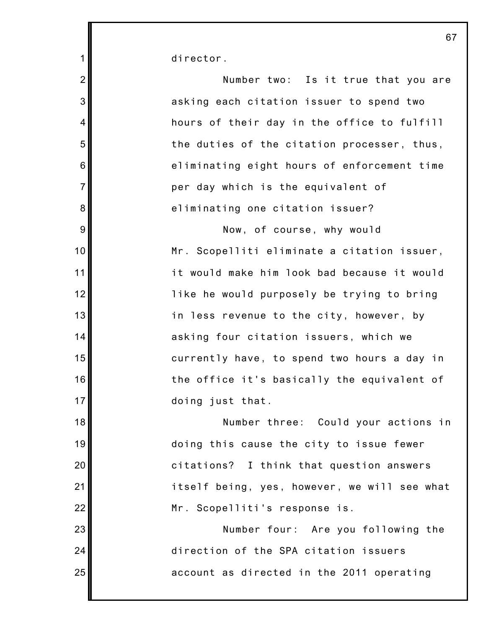director.

1

| $\overline{2}$ | Number two: Is it true that you are          |
|----------------|----------------------------------------------|
| 3              | asking each citation issuer to spend two     |
| $\overline{4}$ | hours of their day in the office to fulfill  |
| 5              | the duties of the citation processer, thus,  |
| 6              | eliminating eight hours of enforcement time  |
| $\overline{7}$ | per day which is the equivalent of           |
| 8              | eliminating one citation issuer?             |
| 9              | Now, of course, why would                    |
| 10             | Mr. Scopelliti eliminate a citation issuer,  |
| 11             | it would make him look bad because it would  |
| 12             | like he would purposely be trying to bring   |
| 13             | in less revenue to the city, however, by     |
| 14             | asking four citation issuers, which we       |
| 15             | currently have, to spend two hours a day in  |
| 16             | the office it's basically the equivalent of  |
| 17             | doing just that.                             |
| 18             | Number three: Could your actions in          |
| 19             | doing this cause the city to issue fewer     |
| 20             | citations? I think that question answers     |
| 21             | itself being, yes, however, we will see what |
| 22             | Mr. Scopelliti's response is.                |
| 23             | Number four: Are you following the           |
| 24             | direction of the SPA citation issuers        |
| 25             | account as directed in the 2011 operating    |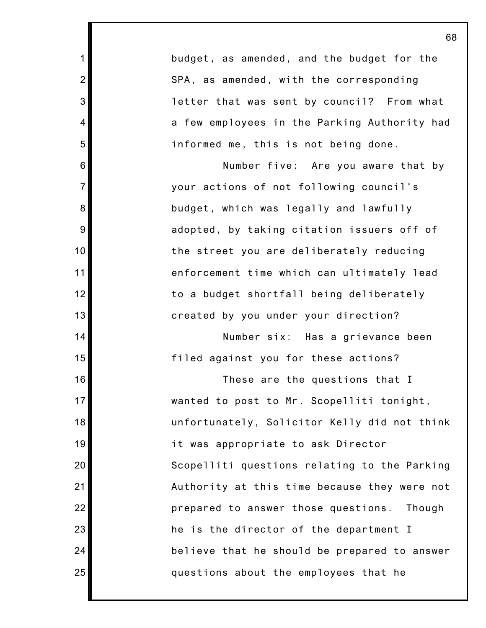|                | 68                                           |
|----------------|----------------------------------------------|
| 1              | budget, as amended, and the budget for the   |
| $\overline{2}$ | SPA, as amended, with the corresponding      |
| 3              | letter that was sent by council? From what   |
| $\overline{4}$ | a few employees in the Parking Authority had |
| 5              | informed me, this is not being done.         |
| 6              | Number five: Are you aware that by           |
| $\overline{7}$ | your actions of not following council's      |
| 8              | budget, which was legally and lawfully       |
| 9              | adopted, by taking citation issuers off of   |
| 10             | the street you are deliberately reducing     |
| 11             | enforcement time which can ultimately lead   |
| 12             | to a budget shortfall being deliberately     |
| 13             | created by you under your direction?         |
| 14             | Number six: Has a grievance been             |
| 15             | filed against you for these actions?         |
| 16             | These are the questions that I               |
| 17             | wanted to post to Mr. Scopelliti tonight,    |
| 18             | unfortunately, Solicitor Kelly did not think |
| 19             | it was appropriate to ask Director           |
| 20             | Scopelliti questions relating to the Parking |
| 21             | Authority at this time because they were not |
| 22             | prepared to answer those questions. Though   |
| 23             | he is the director of the department I       |
| 24             | believe that he should be prepared to answer |
| 25             | questions about the employees that he        |
|                |                                              |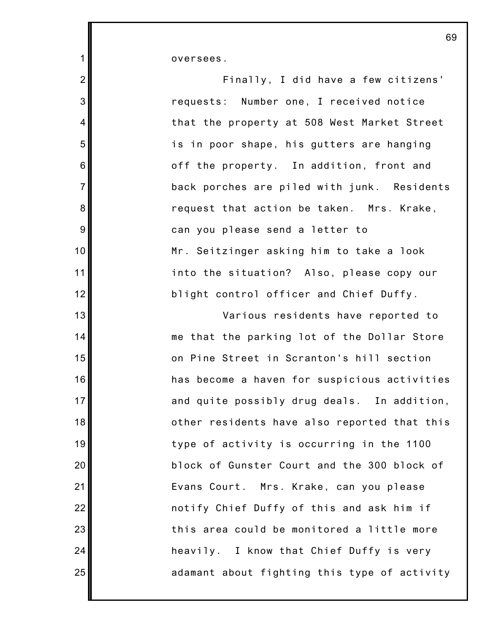oversees.

1

| $2\vert$       | Finally, I did have a few citizens'          |
|----------------|----------------------------------------------|
| 3              | requests: Number one, I received notice      |
| 4              | that the property at 508 West Market Street  |
| 5              | is in poor shape, his gutters are hanging    |
| $\,$ 6 $\,$    | off the property. In addition, front and     |
| $\overline{7}$ | back porches are piled with junk. Residents  |
| $\bf 8$        | request that action be taken. Mrs. Krake,    |
| $\overline{9}$ | can you please send a letter to              |
| 10             | Mr. Seitzinger asking him to take a look     |
| 11             | into the situation? Also, please copy our    |
| 12             | blight control officer and Chief Duffy.      |
| 13             | Various residents have reported to           |
| 14             | me that the parking lot of the Dollar Store  |
| 15             | on Pine Street in Scranton's hill section    |
| 16             | has become a haven for suspicious activities |
| 17             | and quite possibly drug deals. In addition,  |
| 18             | other residents have also reported that this |
| 19             | type of activity is occurring in the 1100    |
| 20             | block of Gunster Court and the 300 block of  |
| 21             | Evans Court. Mrs. Krake, can you please      |
| 22             | notify Chief Duffy of this and ask him if    |
| 23             | this area could be monitored a little more   |
| 24             | heavily. I know that Chief Duffy is very     |
| 25             | adamant about fighting this type of activity |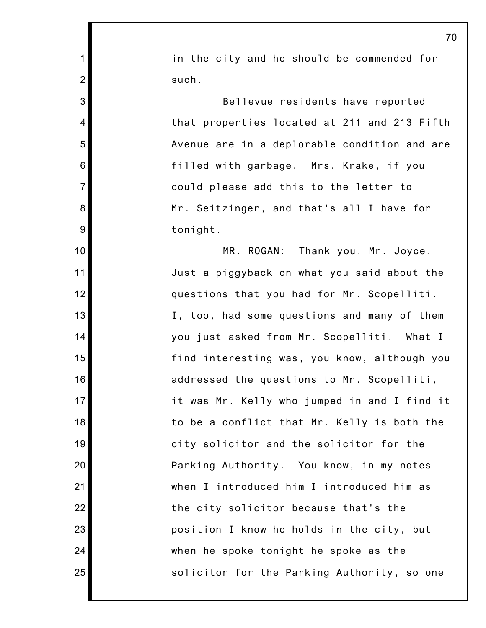|                | 70                                           |
|----------------|----------------------------------------------|
| $\mathbf 1$    | in the city and he should be commended for   |
| $\overline{2}$ | such.                                        |
| $\mathbf{3}$   | Bellevue residents have reported             |
| 4              | that properties located at 211 and 213 Fifth |
| 5              | Avenue are in a deplorable condition and are |
| 6              | filled with garbage. Mrs. Krake, if you      |
| $\overline{7}$ | could please add this to the letter to       |
| 8              | Mr. Seitzinger, and that's all I have for    |
| $9\,$          | tonight.                                     |
| 10             | MR. ROGAN: Thank you, Mr. Joyce.             |
| 11             | Just a piggyback on what you said about the  |
| 12             | questions that you had for Mr. Scopelliti.   |
| 13             | I, too, had some questions and many of them  |
| 14             | you just asked from Mr. Scopelliti. What I   |
| 15             | find interesting was, you know, although you |
| 16             | addressed the questions to Mr. Scopelliti,   |
| 17             | it was Mr. Kelly who jumped in and I find it |
| 18             | to be a conflict that Mr. Kelly is both the  |
| 19             | city solicitor and the solicitor for the     |
| 20             | Parking Authority. You know, in my notes     |
| 21             | when I introduced him I introduced him as    |
| 22             | the city solicitor because that's the        |
| 23             | position I know he holds in the city, but    |
| 24             | when he spoke tonight he spoke as the        |
| 25             | solicitor for the Parking Authority, so one  |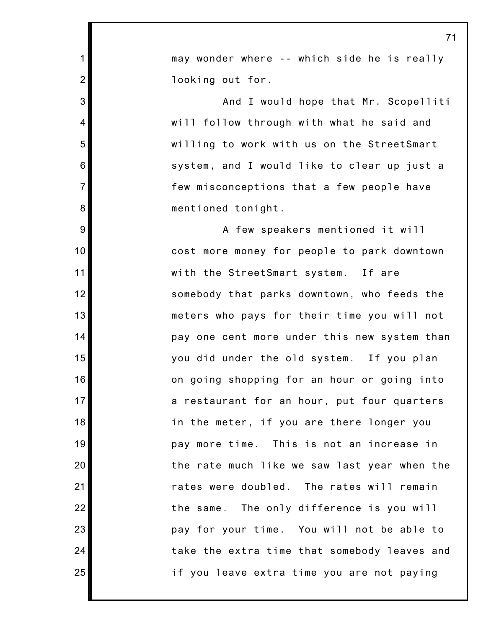| $\mathbf 1$    | may wonder where -- which side he is really  |
|----------------|----------------------------------------------|
| $\overline{2}$ | looking out for.                             |
| 3              | And I would hope that Mr. Scopelliti         |
| $\overline{4}$ | will follow through with what he said and    |
| 5              | willing to work with us on the StreetSmart   |
| 6              | system, and I would like to clear up just a  |
| $\overline{7}$ | few misconceptions that a few people have    |
| 8              | mentioned tonight.                           |
| 9              | A few speakers mentioned it will             |
| 10             | cost more money for people to park downtown  |
| 11             | with the StreetSmart system. If are          |
| 12             | somebody that parks downtown, who feeds the  |
| 13             | meters who pays for their time you will not  |
| 14             | pay one cent more under this new system than |
| 15             | you did under the old system. If you plan    |
| 16             | on going shopping for an hour or going into  |
| 17             | a restaurant for an hour, put four quarters  |
| 18             | in the meter, if you are there longer you    |
| 19             | pay more time. This is not an increase in    |
| 20             | the rate much like we saw last year when the |
| 21             | rates were doubled. The rates will remain    |
| 22             | the same. The only difference is you will    |
| 23             | pay for your time. You will not be able to   |
| 24             | take the extra time that somebody leaves and |
| 25             | if you leave extra time you are not paying   |
|                |                                              |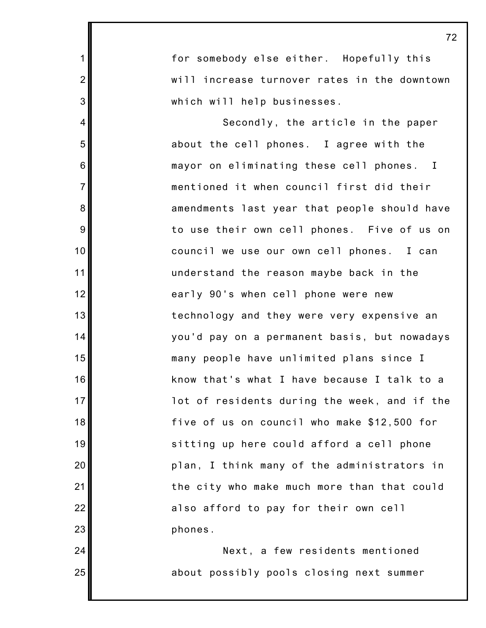1 2 3 4 5 6 7 8 9 10 11 12 13 14 15 16 17 18 19 20 21 22 23 24 72 for somebody else either. Hopefully this will increase turnover rates in the downtown which will help businesses. Secondly, the article in the paper about the cell phones. I agree with the mayor on eliminating these cell phones. I mentioned it when council first did their amendments last year that people should have to use their own cell phones. Five of us on council we use our own cell phones. I can understand the reason maybe back in the early 90's when cell phone were new technology and they were very expensive an you'd pay on a permanent basis, but nowadays many people have unlimited plans since I know that's what I have because I talk to a lot of residents during the week, and if the five of us on council who make \$12,500 for sitting up here could afford a cell phone plan, I think many of the administrators in the city who make much more than that could also afford to pay for their own cell phones. Next, a few residents mentioned

about possibly pools closing next summer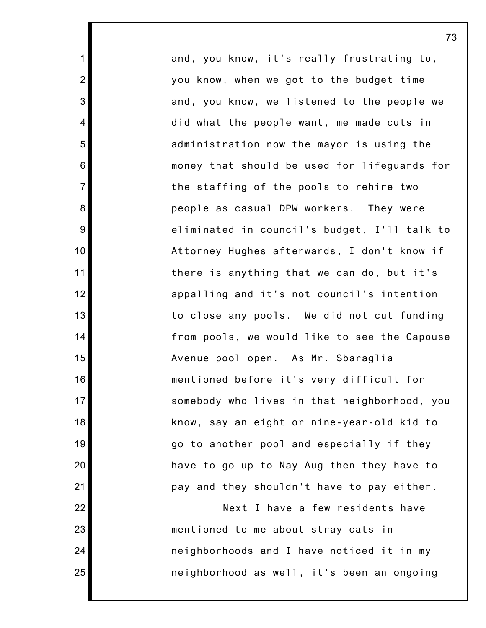and, you know, it's really frustrating to, you know, when we got to the budget time and, you know, we listened to the people we did what the people want, me made cuts in administration now the mayor is using the money that should be used for lifeguards for the staffing of the pools to rehire two people as casual DPW workers. They were eliminated in council's budget, I'll talk to Attorney Hughes afterwards, I don't know if there is anything that we can do, but it's appalling and it's not council's intention to close any pools. We did not cut funding from pools, we would like to see the Capouse Avenue pool open. As Mr. Sbaraglia mentioned before it's very difficult for somebody who lives in that neighborhood, you know, say an eight or nine-year-old kid to go to another pool and especially if they have to go up to Nay Aug then they have to pay and they shouldn't have to pay either. Next I have a few residents have mentioned to me about stray cats in neighborhoods and I have noticed it in my

neighborhood as well, it's been an ongoing

73

25

1

2

3

4

5

6

7

8

9

10

11

12

13

14

15

16

17

18

19

20

21

22

23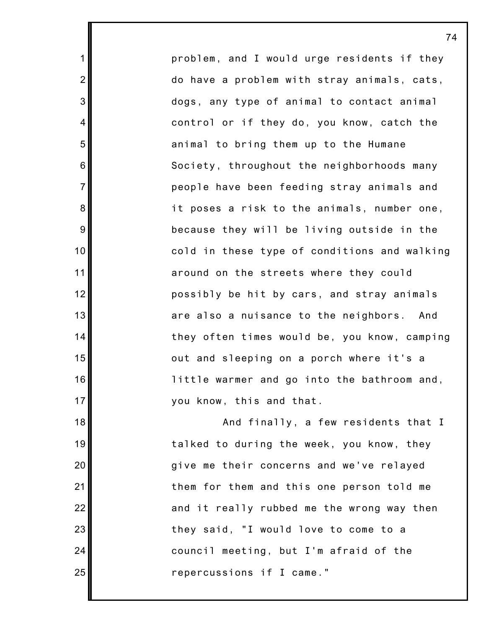problem, and I would urge residents if they do have a problem with stray animals, cats, dogs, any type of animal to contact animal control or if they do, you know, catch the animal to bring them up to the Humane Society, throughout the neighborhoods many people have been feeding stray animals and it poses a risk to the animals, number one, because they will be living outside in the cold in these type of conditions and walking around on the streets where they could possibly be hit by cars, and stray animals are also a nuisance to the neighbors. And they often times would be, you know, camping out and sleeping on a porch where it's a little warmer and go into the bathroom and, you know, this and that.

1

2

3

4

5

6

7

8

9

10

11

12

13

14

15

16

17

18

19

20

21

22

23

24

25

And finally, a few residents that I talked to during the week, you know, they give me their concerns and we've relayed them for them and this one person told me and it really rubbed me the wrong way then they said, "I would love to come to a council meeting, but I'm afraid of the repercussions if I came."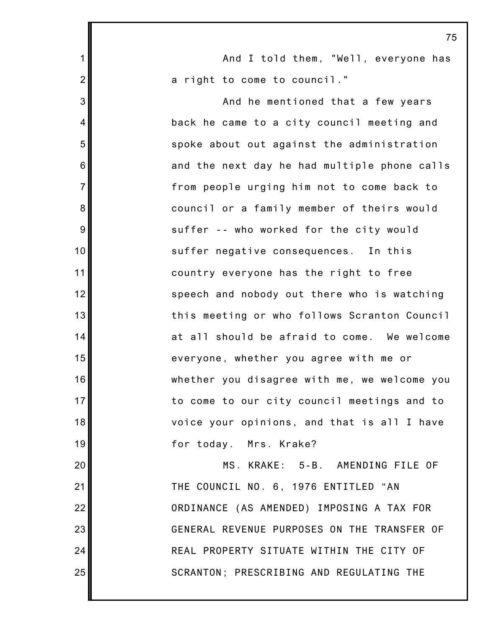|                | 73                                           |
|----------------|----------------------------------------------|
| $\mathbf 1$    | And I told them, "Well, everyone has         |
| $\overline{2}$ | a right to come to council."                 |
| 3              | And he mentioned that a few years            |
| $\overline{4}$ | back he came to a city council meeting and   |
| 5              | spoke about out against the administration   |
| 6              | and the next day he had multiple phone calls |
| $\overline{7}$ | from people urging him not to come back to   |
| 8              | council or a family member of theirs would   |
| 9              | suffer -- who worked for the city would      |
| 10             | suffer negative consequences. In this        |
| 11             | country everyone has the right to free       |
| 12             | speech and nobody out there who is watching  |
| 13             | this meeting or who follows Scranton Council |
| 14             | at all should be afraid to come. We welcome  |
| 15             | everyone, whether you agree with me or       |
| 16             | whether you disagree with me, we welcome you |
| 17             | to come to our city council meetings and to  |
| 18             | voice your opinions, and that is all I have  |
| 19             | for today. Mrs. Krake?                       |
| 20             | MS. KRAKE: 5-B. AMENDING FILE OF             |
| 21             | THE COUNCIL NO. 6, 1976 ENTITLED "AN         |
| 22             | ORDINANCE (AS AMENDED) IMPOSING A TAX FOR    |
| 23             | GENERAL REVENUE PURPOSES ON THE TRANSFER OF  |
| 24             | REAL PROPERTY SITUATE WITHIN THE CITY OF     |
| 25             | SCRANTON; PRESCRIBING AND REGULATING THE     |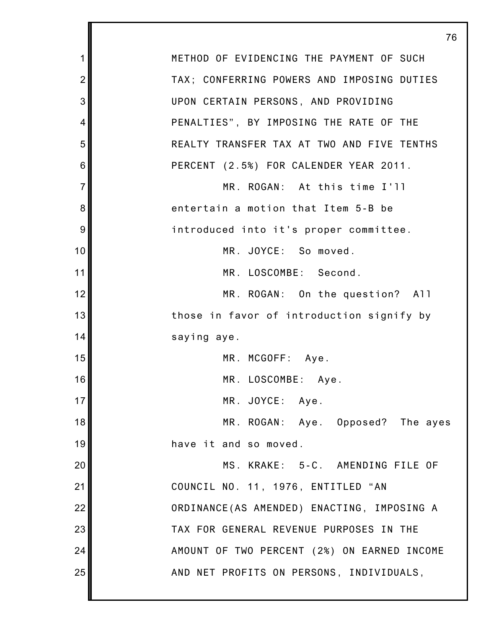|                | 76                                          |
|----------------|---------------------------------------------|
| 1              | METHOD OF EVIDENCING THE PAYMENT OF SUCH    |
| $\overline{2}$ | TAX; CONFERRING POWERS AND IMPOSING DUTIES  |
| 3              | UPON CERTAIN PERSONS, AND PROVIDING         |
| 4              | PENALTIES", BY IMPOSING THE RATE OF THE     |
| 5              | REALTY TRANSFER TAX AT TWO AND FIVE TENTHS  |
| 6              | PERCENT (2.5%) FOR CALENDER YEAR 2011.      |
| $\overline{7}$ | MR. ROGAN: At this time I'll                |
| 8              | entertain a motion that Item 5-B be         |
| 9              | introduced into it's proper committee.      |
| 10             | MR. JOYCE: So moved.                        |
| 11             | MR. LOSCOMBE: Second.                       |
| 12             | MR. ROGAN: On the question? All             |
| 13             | those in favor of introduction signify by   |
| 14             | saying aye.                                 |
| 15             | MR. MCGOFF: Aye.                            |
| 16             | MR. LOSCOMBE: Aye.                          |
| 17             | MR. JOYCE: Aye.                             |
| 18             | MR. ROGAN: Aye. Opposed? The ayes           |
| 19             | have it and so moved.                       |
| 20             | MS. KRAKE: 5-C. AMENDING FILE OF            |
| 21             | COUNCIL NO. 11, 1976, ENTITLED "AN          |
| 22             | ORDINANCE (AS AMENDED) ENACTING, IMPOSING A |
| 23             | TAX FOR GENERAL REVENUE PURPOSES IN THE     |
| 24             | AMOUNT OF TWO PERCENT (2%) ON EARNED INCOME |
| 25             | AND NET PROFITS ON PERSONS, INDIVIDUALS,    |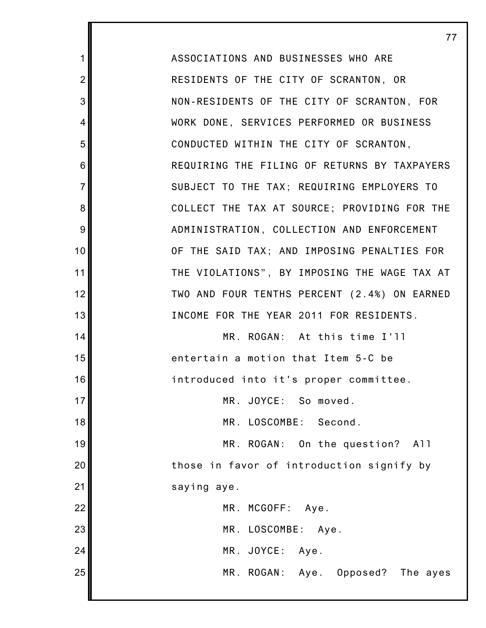ASSOCIATIONS AND BUSINESSES WHO ARE RESIDENTS OF THE CITY OF SCRANTON, OR NON-RESIDENTS OF THE CITY OF SCRANTON, FOR WORK DONE, SERVICES PERFORMED OR BUSINESS CONDUCTED WITHIN THE CITY OF SCRANTON, REQUIRING THE FILING OF RETURNS BY TAXPAYERS SUBJECT TO THE TAX; REQUIRING EMPLOYERS TO COLLECT THE TAX AT SOURCE; PROVIDING FOR THE ADMINISTRATION, COLLECTION AND ENFORCEMENT OF THE SAID TAX; AND IMPOSING PENALTIES FOR THE VIOLATIONS", BY IMPOSING THE WAGE TAX AT TWO AND FOUR TENTHS PERCENT (2.4%) ON EARNED INCOME FOR THE YEAR 2011 FOR RESIDENTS. MR. ROGAN: At this time I'll

77

1

2

3

4

5

6

7

8

9

10

11

12

13

14

15

16

17

18

19

20

21

entertain a motion that Item 5-C be introduced into it's proper committee.

MR. JOYCE: So moved.

MR. LOSCOMBE: Second.

MR. ROGAN: On the question? All those in favor of introduction signify by saying aye.

|                                                           |  | MR. MCGOFF: Aye.   |                                   |  |
|-----------------------------------------------------------|--|--------------------|-----------------------------------|--|
| $\begin{array}{c c}\n 22 \\ 23 \\ 24 \\ 25\n \end{array}$ |  | MR. LOSCOMBE: Aye. |                                   |  |
|                                                           |  | MR. JOYCE: Aye.    |                                   |  |
|                                                           |  |                    | MR. ROGAN: Aye. Opposed? The ayes |  |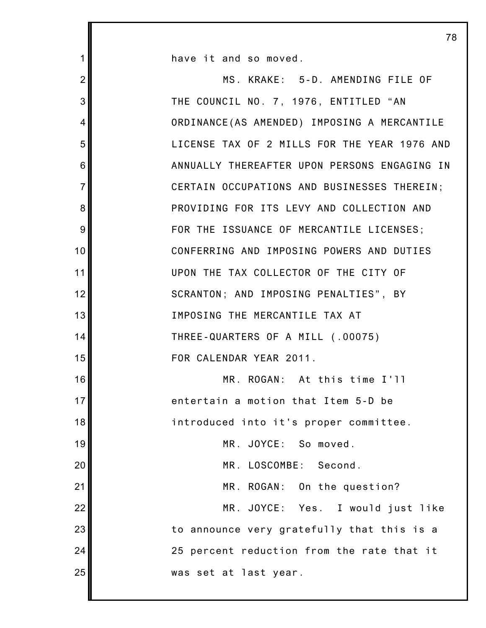1 2 3 4 5 6 7 8 9 10 11 12 13 14 15 16 17 18 19 20 21 22 23 24 25 have it and so moved. MS. KRAKE: 5-D. AMENDING FILE OF THE COUNCIL NO. 7, 1976, ENTITLED "AN ORDINANCE(AS AMENDED) IMPOSING A MERCANTILE LICENSE TAX OF 2 MILLS FOR THE YEAR 1976 AND ANNUALLY THEREAFTER UPON PERSONS ENGAGING IN CERTAIN OCCUPATIONS AND BUSINESSES THEREIN; PROVIDING FOR ITS LEVY AND COLLECTION AND FOR THE ISSUANCE OF MERCANTILE LICENSES; CONFERRING AND IMPOSING POWERS AND DUTIES UPON THE TAX COLLECTOR OF THE CITY OF SCRANTON; AND IMPOSING PENALTIES", BY IMPOSING THE MERCANTILE TAX AT THREE-QUARTERS OF A MILL (.00075) FOR CALENDAR YEAR 2011. MR. ROGAN: At this time I'll entertain a motion that Item 5-D be introduced into it's proper committee. MR. JOYCE: So moved. MR. LOSCOMBE: Second. MR. ROGAN: On the question? MR. JOYCE: Yes. I would just like to announce very gratefully that this is a 25 percent reduction from the rate that it was set at last year.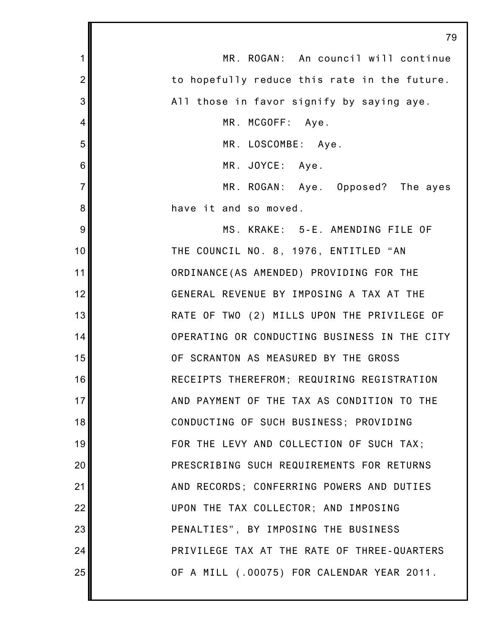|                | 79                                           |
|----------------|----------------------------------------------|
| 1              | MR. ROGAN: An council will continue          |
| $\overline{2}$ | to hopefully reduce this rate in the future. |
| 3              | All those in favor signify by saying aye.    |
| $\overline{4}$ | MR. MCGOFF: Aye.                             |
| 5              | MR. LOSCOMBE: Aye.                           |
| $\,6$          | MR. JOYCE: Aye.                              |
| $\overline{7}$ | MR. ROGAN: Aye. Opposed? The ayes            |
| 8              | have it and so moved.                        |
| 9              | MS. KRAKE: 5-E. AMENDING FILE OF             |
| 10             | THE COUNCIL NO. 8, 1976, ENTITLED "AN        |
| 11             | ORDINANCE (AS AMENDED) PROVIDING FOR THE     |
| 12             | GENERAL REVENUE BY IMPOSING A TAX AT THE     |
| 13             | RATE OF TWO (2) MILLS UPON THE PRIVILEGE OF  |
| 14             | OPERATING OR CONDUCTING BUSINESS IN THE CITY |
| 15             | OF SCRANTON AS MEASURED BY THE GROSS         |
| 16             | RECEIPTS THEREFROM; REQUIRING REGISTRATION   |
| 17             | AND PAYMENT OF THE TAX AS CONDITION TO THE   |
| 18             | CONDUCTING OF SUCH BUSINESS; PROVIDING       |
| 19             | FOR THE LEVY AND COLLECTION OF SUCH TAX;     |
| 20             | PRESCRIBING SUCH REQUIREMENTS FOR RETURNS    |
| 21             | AND RECORDS; CONFERRING POWERS AND DUTIES    |
| 22             | UPON THE TAX COLLECTOR; AND IMPOSING         |
| 23             | PENALTIES", BY IMPOSING THE BUSINESS         |
| 24             | PRIVILEGE TAX AT THE RATE OF THREE-QUARTERS  |
| 25             | OF A MILL (.00075) FOR CALENDAR YEAR 2011.   |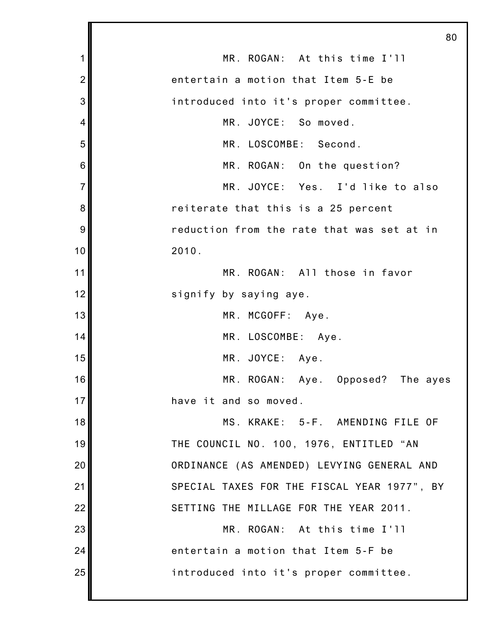|                | 80                                          |
|----------------|---------------------------------------------|
| 1              | MR. ROGAN: At this time I'll                |
| $\overline{2}$ | entertain a motion that Item 5-E be         |
| 3              | introduced into it's proper committee.      |
| 4              | MR. JOYCE: So moved.                        |
| 5              | MR. LOSCOMBE: Second.                       |
| 6              | MR. ROGAN: On the question?                 |
| $\overline{7}$ | MR. JOYCE: Yes. I'd like to also            |
| 8              | reiterate that this is a 25 percent         |
| 9              | reduction from the rate that was set at in  |
| 10             | 2010.                                       |
| 11             | MR. ROGAN: All those in favor               |
| 12             | signify by saying aye.                      |
| 13             | MR. MCGOFF: Aye.                            |
| 14             | MR. LOSCOMBE: Aye.                          |
| 15             | MR. JOYCE: Aye.                             |
| 16             | MR. ROGAN: Aye. Opposed? The ayes           |
| 17             | have it and so moved.                       |
| 18             | MS. KRAKE: 5-F. AMENDING FILE OF            |
| 19             | THE COUNCIL NO. 100, 1976, ENTITLED "AN     |
| 20             | ORDINANCE (AS AMENDED) LEVYING GENERAL AND  |
| 21             | SPECIAL TAXES FOR THE FISCAL YEAR 1977", BY |
| 22             | SETTING THE MILLAGE FOR THE YEAR 2011.      |
| 23             | MR. ROGAN: At this time I'll                |
| 24             | entertain a motion that Item 5-F be         |
| 25             | introduced into it's proper committee.      |
|                |                                             |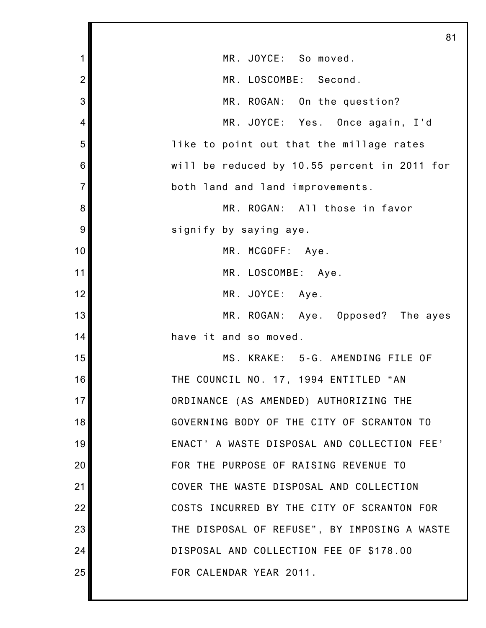|                | 81                                           |
|----------------|----------------------------------------------|
| 1              | MR. JOYCE: So moved.                         |
| $\overline{2}$ | MR. LOSCOMBE: Second.                        |
| 3              | MR. ROGAN: On the question?                  |
| 4              | MR. JOYCE: Yes. Once again, I'd              |
| 5              | like to point out that the millage rates     |
| 6              | will be reduced by 10.55 percent in 2011 for |
| $\overline{7}$ | both land and land improvements.             |
| 8              | MR. ROGAN: All those in favor                |
| 9              | signify by saying aye.                       |
| 10             | MR. MCGOFF: Aye.                             |
| 11             | MR. LOSCOMBE: Aye.                           |
| 12             | MR. JOYCE: Aye.                              |
| 13             | MR. ROGAN: Aye. Opposed? The ayes            |
| 14             | have it and so moved.                        |
| 15             | MS. KRAKE: 5-G. AMENDING FILE OF             |
| 16             | THE COUNCIL NO. 17, 1994 ENTITLED "AN        |
| 17             | ORDINANCE (AS AMENDED) AUTHORIZING THE       |
| 18             | GOVERNING BODY OF THE CITY OF SCRANTON TO    |
| 19             | ENACT' A WASTE DISPOSAL AND COLLECTION FEE'  |
| 20             | FOR THE PURPOSE OF RAISING REVENUE TO        |
| 21             | COVER THE WASTE DISPOSAL AND COLLECTION      |
| 22             | COSTS INCURRED BY THE CITY OF SCRANTON FOR   |
| 23             | THE DISPOSAL OF REFUSE", BY IMPOSING A WASTE |
| 24             | DISPOSAL AND COLLECTION FEE OF \$178.00      |
| 25             | FOR CALENDAR YEAR 2011.                      |
|                |                                              |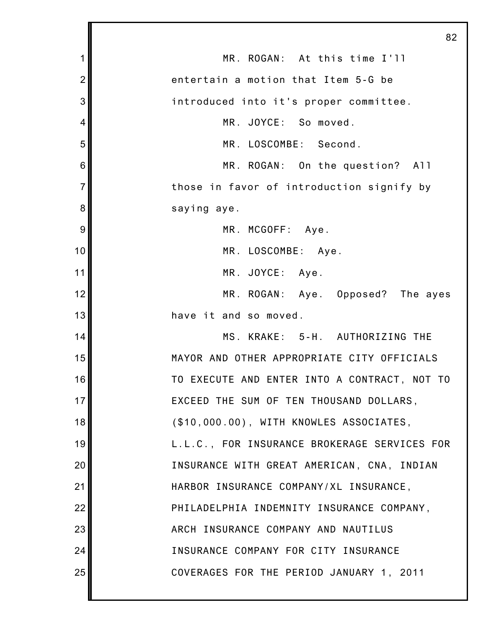|                | 82                                           |
|----------------|----------------------------------------------|
| 1              | MR. ROGAN: At this time I'll                 |
| $\overline{c}$ | entertain a motion that Item 5-G be          |
| 3              | introduced into it's proper committee.       |
| 4              | MR. JOYCE: So moved.                         |
| 5              | MR. LOSCOMBE: Second.                        |
| 6              | MR. ROGAN: On the question? All              |
| $\overline{7}$ | those in favor of introduction signify by    |
| 8              | saying aye.                                  |
| 9              | MR. MCGOFF: Aye.                             |
| 10             | MR. LOSCOMBE: Aye.                           |
| 11             | MR. JOYCE: Aye.                              |
| 12             | MR. ROGAN: Aye. Opposed? The ayes            |
| 13             | have it and so moved.                        |
| 14             | MS. KRAKE: 5-H. AUTHORIZING THE              |
| 15             | MAYOR AND OTHER APPROPRIATE CITY OFFICIALS   |
| 16             | TO EXECUTE AND ENTER INTO A CONTRACT, NOT TO |
| 17             | EXCEED THE SUM OF TEN THOUSAND DOLLARS,      |
| 18             | (\$10,000.00), WITH KNOWLES ASSOCIATES,      |
| 19             | L.L.C., FOR INSURANCE BROKERAGE SERVICES FOR |
| 20             | INSURANCE WITH GREAT AMERICAN, CNA, INDIAN   |
| 21             | HARBOR INSURANCE COMPANY/XL INSURANCE,       |
| 22             | PHILADELPHIA INDEMNITY INSURANCE COMPANY,    |
| 23             | ARCH INSURANCE COMPANY AND NAUTILUS          |
| 24             | INSURANCE COMPANY FOR CITY INSURANCE         |
| 25             | COVERAGES FOR THE PERIOD JANUARY 1, 2011     |
|                |                                              |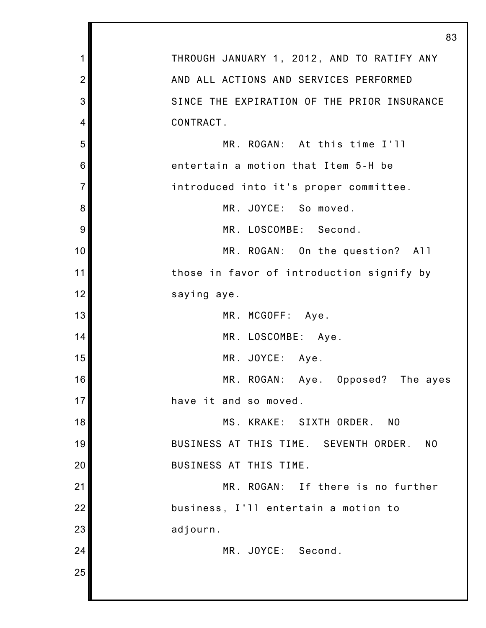|                | 83                                                      |
|----------------|---------------------------------------------------------|
| 1              | THROUGH JANUARY 1, 2012, AND TO RATIFY ANY              |
| $\overline{2}$ | AND ALL ACTIONS AND SERVICES PERFORMED                  |
| 3              | SINCE THE EXPIRATION OF THE PRIOR INSURANCE             |
| 4              | CONTRACT.                                               |
| 5              | MR. ROGAN: At this time I'll                            |
| 6              | entertain a motion that Item 5-H be                     |
| $\overline{7}$ | introduced into it's proper committee.                  |
| 8              | MR. JOYCE: So moved.                                    |
| 9              | MR. LOSCOMBE: Second.                                   |
| 10             | MR. ROGAN: On the question? All                         |
| 11             | those in favor of introduction signify by               |
| 12             | saying aye.                                             |
| 13             | MR. MCGOFF: Aye.                                        |
| 14             | MR. LOSCOMBE: Aye.                                      |
| 15             | MR. JOYCE: Aye.                                         |
| 16             | MR. ROGAN: Aye. Opposed? The ayes                       |
| 17             | have it and so moved.                                   |
| 18             | MS. KRAKE: SIXTH ORDER.<br>NO                           |
| 19             | BUSINESS AT THIS TIME. SEVENTH ORDER.<br>N <sub>0</sub> |
| 20             | BUSINESS AT THIS TIME.                                  |
| 21             | MR. ROGAN: If there is no further                       |
| 22             | business, I'll entertain a motion to                    |
| 23             | adjourn.                                                |
| 24             | MR. JOYCE: Second.                                      |
| 25             |                                                         |
|                |                                                         |